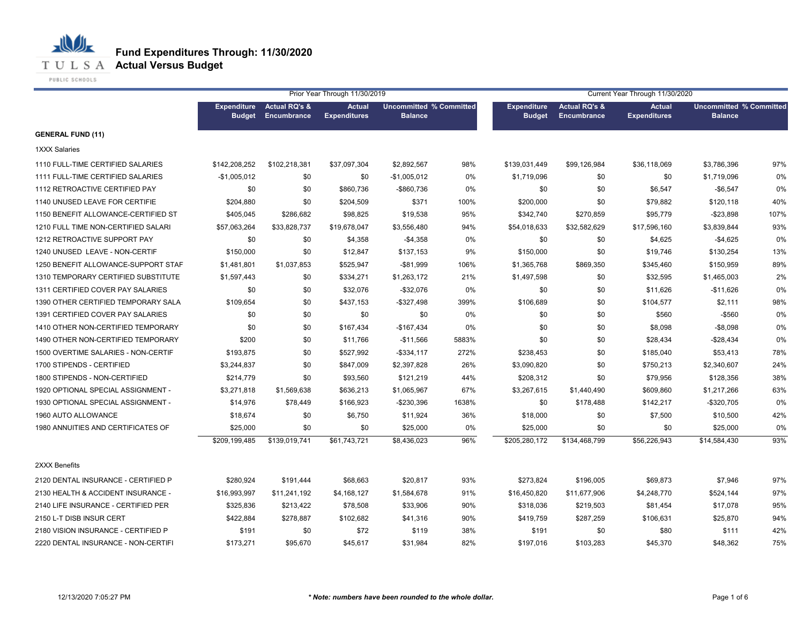

PUBLIC SCHOOLS

|                                     |                                     |                                         | Prior Year Through 11/30/2019        |                                                  |       | Current Year Through 11/30/2020     |                                                |                                      |                                                  |      |  |
|-------------------------------------|-------------------------------------|-----------------------------------------|--------------------------------------|--------------------------------------------------|-------|-------------------------------------|------------------------------------------------|--------------------------------------|--------------------------------------------------|------|--|
|                                     | <b>Expenditure</b><br><b>Budget</b> | <b>Actual RQ's &amp;</b><br>Encumbrance | <b>Actual</b><br><b>Expenditures</b> | <b>Uncommitted % Committed</b><br><b>Balance</b> |       | <b>Expenditure</b><br><b>Budget</b> | <b>Actual RQ's &amp;</b><br><b>Encumbrance</b> | <b>Actual</b><br><b>Expenditures</b> | <b>Uncommitted % Committed</b><br><b>Balance</b> |      |  |
| <b>GENERAL FUND (11)</b>            |                                     |                                         |                                      |                                                  |       |                                     |                                                |                                      |                                                  |      |  |
| 1XXX Salaries                       |                                     |                                         |                                      |                                                  |       |                                     |                                                |                                      |                                                  |      |  |
| 1110 FULL-TIME CERTIFIED SALARIES   | \$142,208,252                       | \$102,218,381                           | \$37,097,304                         | \$2,892,567                                      | 98%   | \$139,031,449                       | \$99,126,984                                   | \$36,118,069                         | \$3,786,396                                      | 97%  |  |
| 1111 FULL-TIME CERTIFIED SALARIES   | $-$1,005,012$                       | \$0                                     | \$0                                  | $-$1,005,012$                                    | 0%    | \$1,719,096                         | \$0                                            | \$0                                  | \$1,719,096                                      | 0%   |  |
| 1112 RETROACTIVE CERTIFIED PAY      | \$0                                 | \$0                                     | \$860,736                            | -\$860,736                                       | 0%    | \$0                                 | \$0                                            | \$6,547                              | $-$6,547$                                        | 0%   |  |
| 1140 UNUSED LEAVE FOR CERTIFIE      | \$204,880                           | \$0                                     | \$204,509                            | \$371                                            | 100%  | \$200,000                           | \$0                                            | \$79,882                             | \$120,118                                        | 40%  |  |
| 1150 BENEFIT ALLOWANCE-CERTIFIED ST | \$405,045                           | \$286,682                               | \$98,825                             | \$19,538                                         | 95%   | \$342,740                           | \$270,859                                      | \$95,779                             | $-$23,898$                                       | 107% |  |
| 1210 FULL TIME NON-CERTIFIED SALARI | \$57,063,264                        | \$33,828,737                            | \$19,678,047                         | \$3,556,480                                      | 94%   | \$54,018,633                        | \$32,582,629                                   | \$17,596,160                         | \$3,839,844                                      | 93%  |  |
| 1212 RETROACTIVE SUPPORT PAY        | \$0                                 | \$0                                     | \$4,358                              | $-$4,358$                                        | 0%    | \$0                                 | \$0                                            | \$4,625                              | $-$4,625$                                        | 0%   |  |
| 1240 UNUSED LEAVE - NON-CERTIF      | \$150,000                           | \$0                                     | \$12,847                             | \$137,153                                        | 9%    | \$150,000                           | \$0                                            | \$19,746                             | \$130,254                                        | 13%  |  |
| 1250 BENEFIT ALLOWANCE-SUPPORT STAF | \$1,481,801                         | \$1,037,853                             | \$525,947                            | $-$81,999$                                       | 106%  | \$1,365,768                         | \$869,350                                      | \$345,460                            | \$150,959                                        | 89%  |  |
| 1310 TEMPORARY CERTIFIED SUBSTITUTE | \$1,597,443                         | \$0                                     | \$334,271                            | \$1,263,172                                      | 21%   | \$1,497,598                         | \$0                                            | \$32,595                             | \$1,465,003                                      | 2%   |  |
| 1311 CERTIFIED COVER PAY SALARIES   | \$0                                 | \$0                                     | \$32,076                             | $-$32,076$                                       | 0%    | \$0                                 | \$0                                            | \$11,626                             | $-$11,626$                                       | 0%   |  |
| 1390 OTHER CERTIFIED TEMPORARY SALA | \$109,654                           | \$0                                     | \$437,153                            | -\$327,498                                       | 399%  | \$106,689                           | \$0                                            | \$104,577                            | \$2,111                                          | 98%  |  |
| 1391 CERTIFIED COVER PAY SALARIES   | \$0                                 | \$0                                     | \$0                                  | \$0                                              | 0%    | \$0                                 | \$0                                            | \$560                                | $-$ \$560                                        | 0%   |  |
| 1410 OTHER NON-CERTIFIED TEMPORARY  | \$0                                 | \$0                                     | \$167,434                            | $-$167,434$                                      | 0%    | \$0                                 | \$0                                            | \$8,098                              | $-$8,098$                                        | 0%   |  |
| 1490 OTHER NON-CERTIFIED TEMPORARY  | \$200                               | \$0                                     | \$11,766                             | $-$11,566$                                       | 5883% | \$0                                 | \$0                                            | \$28,434                             | $-$28,434$                                       | 0%   |  |
| 1500 OVERTIME SALARIES - NON-CERTIF | \$193,875                           | \$0                                     | \$527,992                            | $-$ \$334,117                                    | 272%  | \$238,453                           | \$0                                            | \$185,040                            | \$53,413                                         | 78%  |  |
| 1700 STIPENDS - CERTIFIED           | \$3,244,837                         | \$0                                     | \$847,009                            | \$2,397,828                                      | 26%   | \$3,090,820                         | \$0                                            | \$750,213                            | \$2,340,607                                      | 24%  |  |
| 1800 STIPENDS - NON-CERTIFIED       | \$214,779                           | \$0                                     | \$93,560                             | \$121,219                                        | 44%   | \$208,312                           | \$0                                            | \$79,956                             | \$128,356                                        | 38%  |  |
| 1920 OPTIONAL SPECIAL ASSIGNMENT -  | \$3,271,818                         | \$1,569,638                             | \$636,213                            | \$1,065,967                                      | 67%   | \$3,267,615                         | \$1,440,490                                    | \$609,860                            | \$1,217,266                                      | 63%  |  |
| 1930 OPTIONAL SPECIAL ASSIGNMENT -  | \$14,976                            | \$78,449                                | \$166,923                            | -\$230,396                                       | 1638% | \$0                                 | \$178,488                                      | \$142,217                            | -\$320,705                                       | 0%   |  |
| 1960 AUTO ALLOWANCE                 | \$18,674                            | \$0                                     | \$6,750                              | \$11,924                                         | 36%   | \$18,000                            | \$0                                            | \$7,500                              | \$10,500                                         | 42%  |  |
| 1980 ANNUITIES AND CERTIFICATES OF  | \$25,000                            | \$0                                     | \$0                                  | \$25,000                                         | 0%    | \$25,000                            | \$0                                            | \$0                                  | \$25,000                                         | 0%   |  |
|                                     | \$209,199,485                       | \$139,019,741                           | \$61,743,721                         | \$8,436,023                                      | 96%   | \$205,280,172                       | \$134,468,799                                  | \$56,226,943                         | \$14,584,430                                     | 93%  |  |
| 2XXX Benefits                       |                                     |                                         |                                      |                                                  |       |                                     |                                                |                                      |                                                  |      |  |
| 2120 DENTAL INSURANCE - CERTIFIED P | \$280,924                           | \$191,444                               | \$68,663                             | \$20,817                                         | 93%   | \$273,824                           | \$196,005                                      | \$69,873                             | \$7,946                                          | 97%  |  |
| 2130 HEALTH & ACCIDENT INSURANCE -  | \$16,993,997                        | \$11,241,192                            | \$4,168,127                          | \$1,584,678                                      | 91%   | \$16,450,820                        | \$11,677,906                                   | \$4,248,770                          | \$524,144                                        | 97%  |  |
| 2140 LIFE INSURANCE - CERTIFIED PER | \$325,836                           | \$213,422                               | \$78,508                             | \$33,906                                         | 90%   | \$318,036                           | \$219,503                                      | \$81,454                             | \$17,078                                         | 95%  |  |
| 2150 L-T DISB INSUR CERT            | \$422,884                           | \$278,887                               | \$102,682                            | \$41,316                                         | 90%   | \$419,759                           | \$287,259                                      | \$106,631                            | \$25,870                                         | 94%  |  |
| 2180 VISION INSURANCE - CERTIFIED P | \$191                               | \$0                                     | \$72                                 | \$119                                            | 38%   | \$191                               | \$0                                            | \$80                                 | \$111                                            | 42%  |  |
| 2220 DENTAL INSURANCE - NON-CERTIFI | \$173,271                           | \$95,670                                | \$45,617                             | \$31,984                                         | 82%   | \$197,016                           | \$103,283                                      | \$45,370                             | \$48,362                                         | 75%  |  |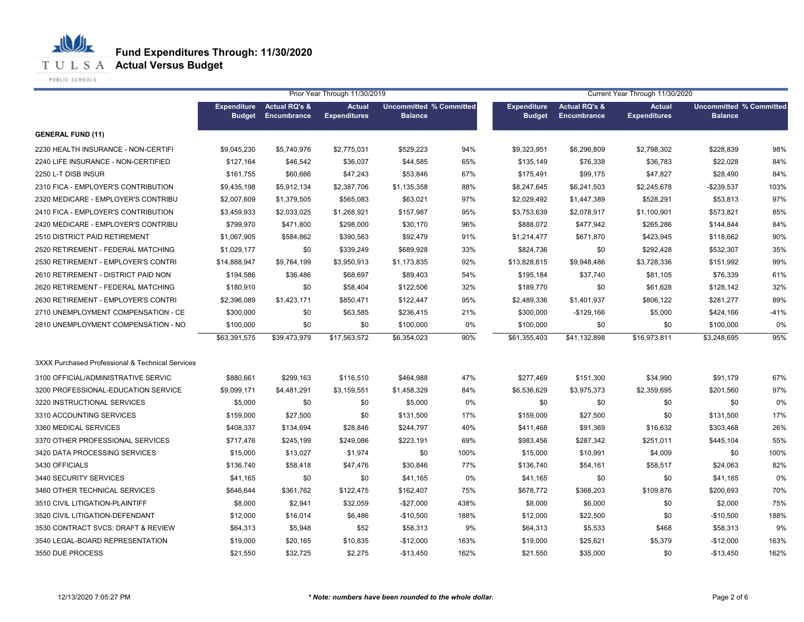**T U L S A Actual Versus Budget** 

PUBLIC SCHOOLS

|                                                  | Prior Year Through 11/30/2019<br>Current Year Through 11/30/2020 |                          |                     |                                |      |                    |                          |                     |                                |        |
|--------------------------------------------------|------------------------------------------------------------------|--------------------------|---------------------|--------------------------------|------|--------------------|--------------------------|---------------------|--------------------------------|--------|
|                                                  | <b>Expenditure</b>                                               | <b>Actual RQ's &amp;</b> | <b>Actual</b>       | <b>Uncommitted % Committed</b> |      | <b>Expenditure</b> | <b>Actual RQ's &amp;</b> | <b>Actual</b>       | <b>Uncommitted % Committed</b> |        |
|                                                  | <b>Budget</b>                                                    | Encumbrance              | <b>Expenditures</b> | <b>Balance</b>                 |      | <b>Budget</b>      | <b>Encumbrance</b>       | <b>Expenditures</b> | <b>Balance</b>                 |        |
| <b>GENERAL FUND (11)</b>                         |                                                                  |                          |                     |                                |      |                    |                          |                     |                                |        |
| 2230 HEALTH INSURANCE - NON-CERTIFI              | \$9,045,230                                                      | \$5,740,976              | \$2,775,031         | \$529,223                      | 94%  | \$9,323,951        | \$6,296,809              | \$2,798,302         | \$228,839                      | 98%    |
| 2240 LIFE INSURANCE - NON-CERTIFIED              | \$127,164                                                        | \$46,542                 | \$36,037            | \$44,585                       | 65%  | \$135,149          | \$76,338                 | \$36,783            | \$22,028                       | 84%    |
| 2250 L-T DISB INSUR                              | \$161,755                                                        | \$60,666                 | \$47,243            | \$53,846                       | 67%  | \$175,491          | \$99,175                 | \$47,827            | \$28,490                       | 84%    |
| 2310 FICA - EMPLOYER'S CONTRIBUTION              | \$9,435,198                                                      | \$5,912,134              | \$2,387,706         | \$1,135,358                    | 88%  | \$8,247,645        | \$6,241,503              | \$2,245,678         | -\$239,537                     | 103%   |
| 2320 MEDICARE - EMPLOYER'S CONTRIBU              | \$2,007,609                                                      | \$1,379,505              | \$565,083           | \$63,021                       | 97%  | \$2,029,492        | \$1,447,389              | \$528,291           | \$53,813                       | 97%    |
| 2410 FICA - EMPLOYER'S CONTRIBUTION              | \$3.459.933                                                      | \$2,033,025              | \$1,268,921         | \$157,987                      | 95%  | \$3,753,639        | \$2,078,917              | \$1,100,901         | \$573,821                      | 85%    |
| 2420 MEDICARE - EMPLOYER'S CONTRIBU              | \$799.970                                                        | \$471,800                | \$298,000           | \$30,170                       | 96%  | \$888,072          | \$477,942                | \$265,286           | \$144,844                      | 84%    |
| 2510 DISTRICT PAID RETIREMENT                    | \$1.067.905                                                      | \$584,862                | \$390,563           | \$92,479                       | 91%  | \$1,214,477        | \$671,870                | \$423,945           | \$118,662                      | 90%    |
| 2520 RETIREMENT - FEDERAL MATCHING               | \$1,029,177                                                      | \$0                      | \$339,249           | \$689,928                      | 33%  | \$824,736          | \$0                      | \$292,428           | \$532,307                      | 35%    |
| 2530 RETIREMENT - EMPLOYER'S CONTRI              | \$14,888,947                                                     | \$9,764,199              | \$3,950,913         | \$1,173,835                    | 92%  | \$13,828,815       | \$9,948,486              | \$3,728,336         | \$151,992                      | 99%    |
| 2610 RETIREMENT - DISTRICT PAID NON              | \$194,586                                                        | \$36,486                 | \$68,697            | \$89,403                       | 54%  | \$195,184          | \$37,740                 | \$81,105            | \$76,339                       | 61%    |
| 2620 RETIREMENT - FEDERAL MATCHING               | \$180,910                                                        | \$0                      | \$58,404            | \$122,506                      | 32%  | \$189,770          | \$0                      | \$61,628            | \$128,142                      | 32%    |
| 2630 RETIREMENT - EMPLOYER'S CONTRI              | \$2,396,089                                                      | \$1,423,171              | \$850,471           | \$122,447                      | 95%  | \$2,489,336        | \$1,401,937              | \$806,122           | \$281,277                      | 89%    |
| 2710 UNEMPLOYMENT COMPENSATION - CE              | \$300,000                                                        | \$0                      | \$63,585            | \$236,415                      | 21%  | \$300,000          | $-$129,166$              | \$5,000             | \$424,166                      | $-41%$ |
| 2810 UNEMPLOYMENT COMPENSATION - NO              | \$100,000                                                        | \$0                      | \$0                 | \$100,000                      | 0%   | \$100,000          | \$0                      | \$0                 | \$100,000                      | 0%     |
|                                                  | \$63,391,575                                                     | \$39,473,979             | \$17,563,572        | \$6,354,023                    | 90%  | \$61,355,403       | \$41,132,898             | \$16,973,811        | \$3,248,695                    | 95%    |
|                                                  |                                                                  |                          |                     |                                |      |                    |                          |                     |                                |        |
| 3XXX Purchased Professional & Technical Services |                                                                  |                          |                     |                                |      |                    |                          |                     |                                |        |
| 3100 OFFICIAL/ADMINISTRATIVE SERVIC              | \$880,661                                                        | \$299,163                | \$116,510           | \$464,988                      | 47%  | \$277,469          | \$151,300                | \$34,990            | \$91,179                       | 67%    |
| 3200 PROFESSIONAL-EDUCATION SERVICE              | \$9,099,171                                                      | \$4,481,291              | \$3,159,551         | \$1,458,329                    | 84%  | \$6,536,629        | \$3,975,373              | \$2,359,695         | \$201,560                      | 97%    |
| 3220 INSTRUCTIONAL SERVICES                      | \$5,000                                                          | \$0                      | \$0                 | \$5,000                        | 0%   | \$0                | \$0                      | \$0                 | \$0                            | 0%     |
| 3310 ACCOUNTING SERVICES                         | \$159,000                                                        | \$27,500                 | \$0                 | \$131,500                      | 17%  | \$159,000          | \$27,500                 | \$0                 | \$131,500                      | 17%    |
| 3360 MEDICAL SERVICES                            | \$408,337                                                        | \$134,694                | \$28,846            | \$244,797                      | 40%  | \$411,468          | \$91,369                 | \$16,632            | \$303,468                      | 26%    |
| 3370 OTHER PROFESSIONAL SERVICES                 | \$717,476                                                        | \$245,199                | \$249,086           | \$223,191                      | 69%  | \$983,456          | \$287,342                | \$251,011           | \$445,104                      | 55%    |
| 3420 DATA PROCESSING SERVICES                    | \$15,000                                                         | \$13,027                 | \$1,974             | \$0                            | 100% | \$15,000           | \$10,991                 | \$4,009             | \$0                            | 100%   |
| 3430 OFFICIALS                                   | \$136,740                                                        | \$58,418                 | \$47,476            | \$30,846                       | 77%  | \$136,740          | \$54,161                 | \$58,517            | \$24,063                       | 82%    |
| 3440 SECURITY SERVICES                           | \$41,165                                                         | \$0                      | \$0                 | \$41,165                       | 0%   | \$41,165           | \$0                      | \$0                 | \$41,165                       | 0%     |
| 3460 OTHER TECHNICAL SERVICES                    | \$646,644                                                        | \$361,762                | \$122,475           | \$162,407                      | 75%  | \$678,772          | \$368,203                | \$109,876           | \$200,693                      | 70%    |
| 3510 CIVIL LITIGATION-PLAINTIFF                  | \$8,000                                                          | \$2,941                  | \$32,059            | $-$27,000$                     | 438% | \$8,000            | \$6,000                  | \$0                 | \$2,000                        | 75%    |
| 3520 CIVIL LITIGATION-DEFENDANT                  | \$12,000                                                         | \$16,014                 | \$6,486             | $-$10,500$                     | 188% | \$12,000           | \$22,500                 | \$0                 | $-$10,500$                     | 188%   |
| 3530 CONTRACT SVCS: DRAFT & REVIEW               | \$64,313                                                         | \$5,948                  | \$52                | \$58,313                       | 9%   | \$64,313           | \$5,533                  | \$468               | \$58,313                       | 9%     |
| 3540 LEGAL-BOARD REPRESENTATION                  | \$19,000                                                         | \$20,165                 | \$10,835            | $-$12,000$                     | 163% | \$19,000           | \$25,621                 | \$5,379             | $-$12,000$                     | 163%   |
| 3550 DUE PROCESS                                 | \$21,550                                                         | \$32,725                 | \$2,275             | $-$13,450$                     | 162% | \$21,550           | \$35,000                 | \$0                 | $-$13,450$                     | 162%   |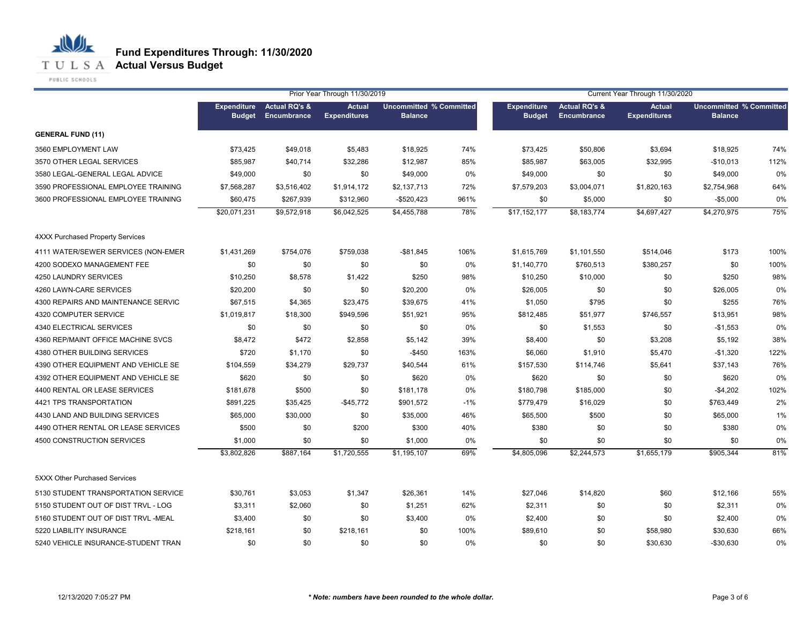**T U L S A Actual Versus Budget** 

PUBLIC SCHOOLS

|                                     |                                     |                                         | Prior Year Through 11/30/2019        |                                                  |       |                                     |                                         | Current Year Through 11/30/2020      |                                                  |      |
|-------------------------------------|-------------------------------------|-----------------------------------------|--------------------------------------|--------------------------------------------------|-------|-------------------------------------|-----------------------------------------|--------------------------------------|--------------------------------------------------|------|
|                                     | <b>Expenditure</b><br><b>Budget</b> | <b>Actual RQ's &amp;</b><br>Encumbrance | <b>Actual</b><br><b>Expenditures</b> | <b>Uncommitted % Committed</b><br><b>Balance</b> |       | <b>Expenditure</b><br><b>Budget</b> | <b>Actual RQ's &amp;</b><br>Encumbrance | <b>Actual</b><br><b>Expenditures</b> | <b>Uncommitted % Committed</b><br><b>Balance</b> |      |
| <b>GENERAL FUND (11)</b>            |                                     |                                         |                                      |                                                  |       |                                     |                                         |                                      |                                                  |      |
| 3560 EMPLOYMENT LAW                 | \$73,425                            | \$49,018                                | \$5,483                              | \$18,925                                         | 74%   | \$73,425                            | \$50,806                                | \$3,694                              | \$18,925                                         | 74%  |
| 3570 OTHER LEGAL SERVICES           | \$85,987                            | \$40,714                                | \$32,286                             | \$12,987                                         | 85%   | \$85,987                            | \$63,005                                | \$32,995                             | $-$10,013$                                       | 112% |
| 3580 LEGAL-GENERAL LEGAL ADVICE     | \$49,000                            | \$0                                     | \$0                                  | \$49,000                                         | 0%    | \$49,000                            | \$0                                     | \$0                                  | \$49,000                                         | 0%   |
| 3590 PROFESSIONAL EMPLOYEE TRAINING | \$7,568,287                         | \$3,516,402                             | \$1,914,172                          | \$2,137,713                                      | 72%   | \$7,579,203                         | \$3,004,071                             | \$1,820,163                          | \$2,754,968                                      | 64%  |
| 3600 PROFESSIONAL EMPLOYEE TRAINING | \$60,475                            | \$267,939                               | \$312,960                            | $-$520,423$                                      | 961%  | \$0                                 | \$5,000                                 | \$0                                  | $-$5,000$                                        | 0%   |
|                                     | \$20,071,231                        | \$9,572,918                             | \$6,042,525                          | \$4,455,788                                      | 78%   | \$17,152,177                        | \$8,183,774                             | \$4,697,427                          | \$4,270,975                                      | 75%  |
| 4XXX Purchased Property Services    |                                     |                                         |                                      |                                                  |       |                                     |                                         |                                      |                                                  |      |
| 4111 WATER/SEWER SERVICES (NON-EMER | \$1,431,269                         | \$754,076                               | \$759,038                            | $-$81,845$                                       | 106%  | \$1,615,769                         | \$1,101,550                             | \$514,046                            | \$173                                            | 100% |
| 4200 SODEXO MANAGEMENT FEE          | \$0                                 | \$0                                     | \$0                                  | \$0                                              | 0%    | \$1,140,770                         | \$760,513                               | \$380,257                            | \$0                                              | 100% |
| 4250 LAUNDRY SERVICES               | \$10,250                            | \$8,578                                 | \$1,422                              | \$250                                            | 98%   | \$10,250                            | \$10,000                                | \$0                                  | \$250                                            | 98%  |
| 4260 LAWN-CARE SERVICES             | \$20,200                            | \$0                                     | \$0                                  | \$20,200                                         | 0%    | \$26,005                            | \$0                                     | \$0                                  | \$26,005                                         | 0%   |
| 4300 REPAIRS AND MAINTENANCE SERVIC | \$67,515                            | \$4,365                                 | \$23,475                             | \$39,675                                         | 41%   | \$1,050                             | \$795                                   | \$0                                  | \$255                                            | 76%  |
| 4320 COMPUTER SERVICE               | \$1,019,817                         | \$18,300                                | \$949,596                            | \$51,921                                         | 95%   | \$812,485                           | \$51,977                                | \$746,557                            | \$13,951                                         | 98%  |
| 4340 ELECTRICAL SERVICES            | \$0                                 | \$0                                     | \$0                                  | \$0                                              | 0%    | \$0                                 | \$1,553                                 | \$0                                  | $-$1,553$                                        | 0%   |
| 4360 REP/MAINT OFFICE MACHINE SVCS  | \$8,472                             | \$472                                   | \$2,858                              | \$5,142                                          | 39%   | \$8,400                             | \$0                                     | \$3,208                              | \$5,192                                          | 38%  |
| 4380 OTHER BUILDING SERVICES        | \$720                               | \$1,170                                 | \$0                                  | $-$450$                                          | 163%  | \$6,060                             | \$1,910                                 | \$5,470                              | $-$1,320$                                        | 122% |
| 4390 OTHER EQUIPMENT AND VEHICLE SE | \$104,559                           | \$34,279                                | \$29,737                             | \$40,544                                         | 61%   | \$157,530                           | \$114,746                               | \$5,641                              | \$37,143                                         | 76%  |
| 4392 OTHER EQUIPMENT AND VEHICLE SE | \$620                               | \$0                                     | \$0                                  | \$620                                            | 0%    | \$620                               | \$0                                     | \$0                                  | \$620                                            | 0%   |
| 4400 RENTAL OR LEASE SERVICES       | \$181,678                           | \$500                                   | \$0                                  | \$181,178                                        | 0%    | \$180,798                           | \$185,000                               | \$0                                  | $-$4,202$                                        | 102% |
| 4421 TPS TRANSPORTATION             | \$891,225                           | \$35,425                                | $-$45,772$                           | \$901,572                                        | $-1%$ | \$779,479                           | \$16,029                                | \$0                                  | \$763,449                                        | 2%   |
| 4430 LAND AND BUILDING SERVICES     | \$65,000                            | \$30,000                                | \$0                                  | \$35,000                                         | 46%   | \$65,500                            | \$500                                   | \$0                                  | \$65,000                                         | 1%   |
| 4490 OTHER RENTAL OR LEASE SERVICES | \$500                               | \$0                                     | \$200                                | \$300                                            | 40%   | \$380                               | \$0                                     | \$0                                  | \$380                                            | 0%   |
| 4500 CONSTRUCTION SERVICES          | \$1,000                             | \$0                                     | \$0                                  | \$1,000                                          | 0%    | \$0                                 | \$0                                     | \$0                                  | \$0                                              | 0%   |
|                                     | \$3,802,826                         | \$887,164                               | \$1,720,555                          | \$1,195,107                                      | 69%   | \$4,805,096                         | \$2,244,573                             | \$1,655,179                          | \$905,344                                        | 81%  |
| 5XXX Other Purchased Services       |                                     |                                         |                                      |                                                  |       |                                     |                                         |                                      |                                                  |      |
| 5130 STUDENT TRANSPORTATION SERVICE | \$30,761                            | \$3,053                                 | \$1,347                              | \$26,361                                         | 14%   | \$27,046                            | \$14,820                                | \$60                                 | \$12,166                                         | 55%  |
| 5150 STUDENT OUT OF DIST TRVL - LOG | \$3,311                             | \$2,060                                 | \$0                                  | \$1,251                                          | 62%   | \$2,311                             | \$0                                     | \$0                                  | \$2,311                                          | 0%   |
| 5160 STUDENT OUT OF DIST TRVL -MEAL | \$3,400                             | \$0                                     | \$0                                  | \$3,400                                          | 0%    | \$2,400                             | \$0                                     | \$0                                  | \$2,400                                          | 0%   |
| 5220 LIABILITY INSURANCE            | \$218,161                           | \$0                                     | \$218,161                            | \$0                                              | 100%  | \$89,610                            | \$0                                     | \$58,980                             | \$30,630                                         | 66%  |
| 5240 VEHICLE INSURANCE-STUDENT TRAN | \$0                                 | \$0                                     | \$0                                  | \$0                                              | 0%    | \$0                                 | \$0                                     | \$30,630                             | $-$30,630$                                       | 0%   |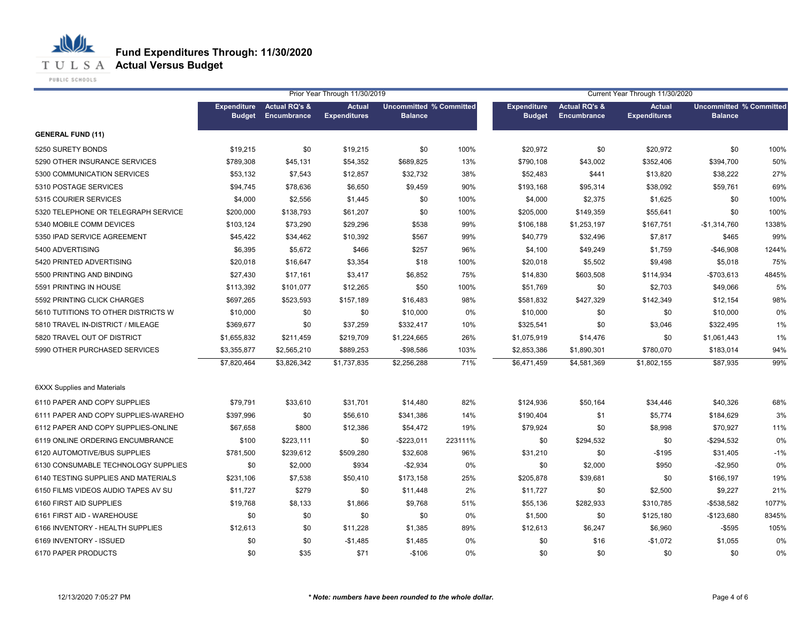

PUBLIC SCHOOLS

|                                     |                                     |                                         | Prior Year Through 11/30/2019        |                                                  |         | Current Year Through 11/30/2020     |                                                |                                      |                                                  |       |  |
|-------------------------------------|-------------------------------------|-----------------------------------------|--------------------------------------|--------------------------------------------------|---------|-------------------------------------|------------------------------------------------|--------------------------------------|--------------------------------------------------|-------|--|
|                                     | <b>Expenditure</b><br><b>Budget</b> | <b>Actual RQ's &amp;</b><br>Encumbrance | <b>Actual</b><br><b>Expenditures</b> | <b>Uncommitted % Committed</b><br><b>Balance</b> |         | <b>Expenditure</b><br><b>Budget</b> | <b>Actual RQ's &amp;</b><br><b>Encumbrance</b> | <b>Actual</b><br><b>Expenditures</b> | <b>Uncommitted % Committed</b><br><b>Balance</b> |       |  |
| <b>GENERAL FUND (11)</b>            |                                     |                                         |                                      |                                                  |         |                                     |                                                |                                      |                                                  |       |  |
| 5250 SURETY BONDS                   | \$19,215                            | \$0                                     | \$19,215                             | \$0                                              | 100%    | \$20,972                            | \$0                                            | \$20,972                             | \$0                                              | 100%  |  |
| 5290 OTHER INSURANCE SERVICES       | \$789,308                           | \$45,131                                | \$54,352                             | \$689,825                                        | 13%     | \$790,108                           | \$43,002                                       | \$352,406                            | \$394,700                                        | 50%   |  |
| 5300 COMMUNICATION SERVICES         | \$53,132                            | \$7,543                                 | \$12,857                             | \$32,732                                         | 38%     | \$52,483                            | \$441                                          | \$13,820                             | \$38,222                                         | 27%   |  |
| 5310 POSTAGE SERVICES               | \$94,745                            | \$78,636                                | \$6,650                              | \$9,459                                          | 90%     | \$193,168                           | \$95,314                                       | \$38,092                             | \$59,761                                         | 69%   |  |
| 5315 COURIER SERVICES               | \$4,000                             | \$2,556                                 | \$1,445                              | \$0                                              | 100%    | \$4,000                             | \$2,375                                        | \$1,625                              | \$0                                              | 100%  |  |
| 5320 TELEPHONE OR TELEGRAPH SERVICE | \$200,000                           | \$138,793                               | \$61,207                             | \$0                                              | 100%    | \$205,000                           | \$149,359                                      | \$55,641                             | \$0                                              | 100%  |  |
| 5340 MOBILE COMM DEVICES            | \$103,124                           | \$73,290                                | \$29,296                             | \$538                                            | 99%     | \$106,188                           | \$1,253,197                                    | \$167,751                            | $-$1,314,760$                                    | 1338% |  |
| 5350 IPAD SERVICE AGREEMENT         | \$45,422                            | \$34,462                                | \$10,392                             | \$567                                            | 99%     | \$40,779                            | \$32,496                                       | \$7,817                              | \$465                                            | 99%   |  |
| 5400 ADVERTISING                    | \$6,395                             | \$5,672                                 | \$466                                | \$257                                            | 96%     | \$4,100                             | \$49,249                                       | \$1,759                              | $-$46,908$                                       | 1244% |  |
| 5420 PRINTED ADVERTISING            | \$20,018                            | \$16,647                                | \$3,354                              | \$18                                             | 100%    | \$20,018                            | \$5,502                                        | \$9,498                              | \$5,018                                          | 75%   |  |
| 5500 PRINTING AND BINDING           | \$27,430                            | \$17,161                                | \$3,417                              | \$6,852                                          | 75%     | \$14,830                            | \$603,508                                      | \$114,934                            | $-$703,613$                                      | 4845% |  |
| 5591 PRINTING IN HOUSE              | \$113,392                           | \$101,077                               | \$12,265                             | \$50                                             | 100%    | \$51,769                            | \$0                                            | \$2,703                              | \$49,066                                         | 5%    |  |
| 5592 PRINTING CLICK CHARGES         | \$697,265                           | \$523,593                               | \$157,189                            | \$16,483                                         | 98%     | \$581,832                           | \$427,329                                      | \$142,349                            | \$12,154                                         | 98%   |  |
| 5610 TUTITIONS TO OTHER DISTRICTS W | \$10,000                            | \$0                                     | \$0                                  | \$10,000                                         | 0%      | \$10,000                            | \$0                                            | \$0                                  | \$10,000                                         | 0%    |  |
| 5810 TRAVEL IN-DISTRICT / MILEAGE   | \$369,677                           | \$0                                     | \$37,259                             | \$332,417                                        | 10%     | \$325,541                           | \$0                                            | \$3,046                              | \$322,495                                        | 1%    |  |
| 5820 TRAVEL OUT OF DISTRICT         | \$1,655,832                         | \$211,459                               | \$219,709                            | \$1,224,665                                      | 26%     | \$1,075,919                         | \$14,476                                       | \$0                                  | \$1,061,443                                      | 1%    |  |
| 5990 OTHER PURCHASED SERVICES       | \$3,355,877                         | \$2,565,210                             | \$889,253                            | $-$98,586$                                       | 103%    | \$2,853,386                         | \$1,890,301                                    | \$780,070                            | \$183,014                                        | 94%   |  |
|                                     | \$7,820,464                         | \$3,826,342                             | \$1,737,835                          | \$2,256,288                                      | 71%     | \$6,471,459                         | \$4,581,369                                    | \$1,802,155                          | \$87,935                                         | 99%   |  |
| <b>6XXX Supplies and Materials</b>  |                                     |                                         |                                      |                                                  |         |                                     |                                                |                                      |                                                  |       |  |
| 6110 PAPER AND COPY SUPPLIES        | \$79,791                            | \$33,610                                | \$31,701                             | \$14,480                                         | 82%     | \$124,936                           | \$50,164                                       | \$34,446                             | \$40,326                                         | 68%   |  |
| 6111 PAPER AND COPY SUPPLIES-WAREHO | \$397,996                           | \$0                                     | \$56,610                             | \$341,386                                        | 14%     | \$190,404                           | \$1                                            | \$5,774                              | \$184,629                                        | 3%    |  |
| 6112 PAPER AND COPY SUPPLIES-ONLINE | \$67,658                            | \$800                                   | \$12,386                             | \$54,472                                         | 19%     | \$79,924                            | \$0                                            | \$8,998                              | \$70,927                                         | 11%   |  |
| 6119 ONLINE ORDERING ENCUMBRANCE    | \$100                               | \$223,111                               | \$0                                  | $-$ \$223,011                                    | 223111% | \$0                                 | \$294,532                                      | \$0                                  | $-$294,532$                                      | 0%    |  |
| 6120 AUTOMOTIVE/BUS SUPPLIES        | \$781,500                           | \$239,612                               | \$509,280                            | \$32,608                                         | 96%     | \$31,210                            | \$0                                            | $-$195$                              | \$31,405                                         | $-1%$ |  |
| 6130 CONSUMABLE TECHNOLOGY SUPPLIES | \$0                                 | \$2,000                                 | \$934                                | $-$2,934$                                        | 0%      | \$0                                 | \$2,000                                        | \$950                                | $-$2,950$                                        | 0%    |  |
| 6140 TESTING SUPPLIES AND MATERIALS | \$231,106                           | \$7,538                                 | \$50,410                             | \$173,158                                        | 25%     | \$205,878                           | \$39,681                                       | \$0                                  | \$166,197                                        | 19%   |  |
| 6150 FILMS VIDEOS AUDIO TAPES AV SU | \$11,727                            | \$279                                   | \$0                                  | \$11,448                                         | 2%      | \$11,727                            | \$0                                            | \$2,500                              | \$9,227                                          | 21%   |  |
| 6160 FIRST AID SUPPLIES             | \$19,768                            | \$8,133                                 | \$1,866                              | \$9,768                                          | 51%     | \$55,136                            | \$282,933                                      | \$310,785                            | $- $538,582$                                     | 1077% |  |
| 6161 FIRST AID - WAREHOUSE          | \$0                                 | \$0                                     | \$0                                  | \$0                                              | 0%      | \$1,500                             | \$0                                            | \$125,180                            | $-$123,680$                                      | 8345% |  |
| 6166 INVENTORY - HEALTH SUPPLIES    | \$12,613                            | \$0                                     | \$11,228                             | \$1,385                                          | 89%     | \$12,613                            | \$6,247                                        | \$6,960                              | $-$ \$595                                        | 105%  |  |
| 6169 INVENTORY - ISSUED             | \$0                                 | \$0                                     | $-$1,485$                            | \$1,485                                          | 0%      | \$0                                 | \$16                                           | $-$1,072$                            | \$1,055                                          | 0%    |  |
| 6170 PAPER PRODUCTS                 | \$0                                 | \$35                                    | \$71                                 | $-$106$                                          | 0%      | \$0                                 | \$0                                            | \$0                                  | \$0                                              | 0%    |  |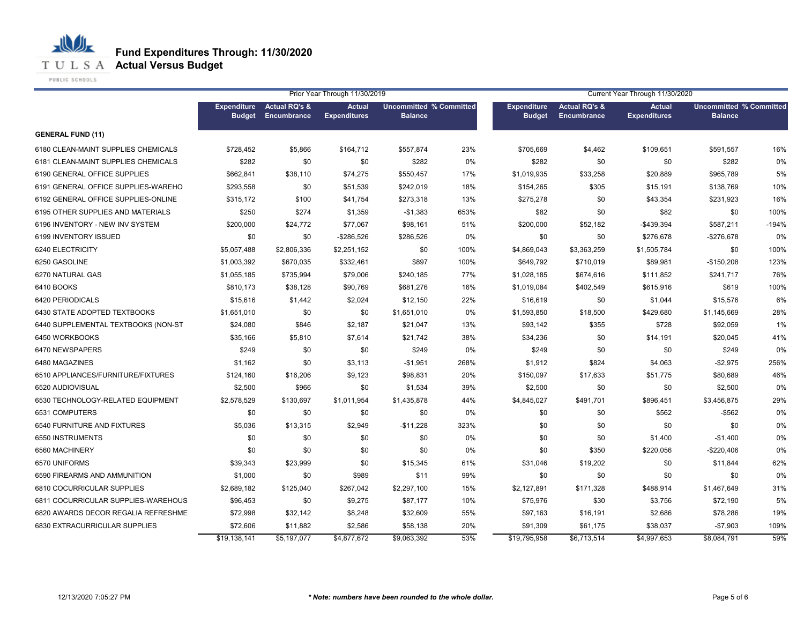

PUBLIC SCHOOLS

|                                     | Prior Year Through 11/30/2019       |                                         |                                      |                                                  |      | Current Year Through 11/30/2020     |                                                |                                      |                                                  |         |
|-------------------------------------|-------------------------------------|-----------------------------------------|--------------------------------------|--------------------------------------------------|------|-------------------------------------|------------------------------------------------|--------------------------------------|--------------------------------------------------|---------|
|                                     | <b>Expenditure</b><br><b>Budget</b> | <b>Actual RQ's &amp;</b><br>Encumbrance | <b>Actual</b><br><b>Expenditures</b> | <b>Uncommitted % Committed</b><br><b>Balance</b> |      | <b>Expenditure</b><br><b>Budget</b> | <b>Actual RQ's &amp;</b><br><b>Encumbrance</b> | <b>Actual</b><br><b>Expenditures</b> | <b>Uncommitted % Committed</b><br><b>Balance</b> |         |
| <b>GENERAL FUND (11)</b>            |                                     |                                         |                                      |                                                  |      |                                     |                                                |                                      |                                                  |         |
| 6180 CLEAN-MAINT SUPPLIES CHEMICALS | \$728,452                           | \$5,866                                 | \$164,712                            | \$557,874                                        | 23%  | \$705,669                           | \$4,462                                        | \$109,651                            | \$591,557                                        | 16%     |
| 6181 CLEAN-MAINT SUPPLIES CHEMICALS | \$282                               | \$0                                     | \$0                                  | \$282                                            | 0%   | \$282                               | \$0                                            | \$0                                  | \$282                                            | 0%      |
| 6190 GENERAL OFFICE SUPPLIES        | \$662,841                           | \$38,110                                | \$74,275                             | \$550,457                                        | 17%  | \$1,019,935                         | \$33,258                                       | \$20,889                             | \$965,789                                        | 5%      |
| 6191 GENERAL OFFICE SUPPLIES-WAREHO | \$293,558                           | \$0                                     | \$51,539                             | \$242,019                                        | 18%  | \$154,265                           | \$305                                          | \$15,191                             | \$138,769                                        | 10%     |
| 6192 GENERAL OFFICE SUPPLIES-ONLINE | \$315,172                           | \$100                                   | \$41,754                             | \$273,318                                        | 13%  | \$275,278                           | \$0                                            | \$43,354                             | \$231,923                                        | 16%     |
| 6195 OTHER SUPPLIES AND MATERIALS   | \$250                               | \$274                                   | \$1,359                              | $-$1,383$                                        | 653% | \$82                                | \$0                                            | \$82                                 | \$0                                              | 100%    |
| 6196 INVENTORY - NEW INV SYSTEM     | \$200,000                           | \$24,772                                | \$77,067                             | \$98,161                                         | 51%  | \$200,000                           | \$52,182                                       | -\$439,394                           | \$587,211                                        | $-194%$ |
| 6199 INVENTORY ISSUED               | \$0                                 | \$0                                     | $-$ \$286,526                        | \$286,526                                        | 0%   | \$0                                 | \$0                                            | \$276,678                            | -\$276,678                                       | 0%      |
| 6240 ELECTRICITY                    | \$5,057,488                         | \$2,806,336                             | \$2,251,152                          | \$0                                              | 100% | \$4,869,043                         | \$3,363,259                                    | \$1,505,784                          | \$0                                              | 100%    |
| 6250 GASOLINE                       | \$1,003,392                         | \$670,035                               | \$332,461                            | \$897                                            | 100% | \$649,792                           | \$710,019                                      | \$89,981                             | $-$150,208$                                      | 123%    |
| 6270 NATURAL GAS                    | \$1,055,185                         | \$735,994                               | \$79,006                             | \$240,185                                        | 77%  | \$1,028,185                         | \$674,616                                      | \$111,852                            | \$241,717                                        | 76%     |
| 6410 BOOKS                          | \$810,173                           | \$38,128                                | \$90,769                             | \$681,276                                        | 16%  | \$1,019,084                         | \$402,549                                      | \$615,916                            | \$619                                            | 100%    |
| 6420 PERIODICALS                    | \$15,616                            | \$1,442                                 | \$2,024                              | \$12,150                                         | 22%  | \$16,619                            | \$0                                            | \$1,044                              | \$15,576                                         | 6%      |
| 6430 STATE ADOPTED TEXTBOOKS        | \$1,651,010                         | \$0                                     | \$0                                  | \$1,651,010                                      | 0%   | \$1,593,850                         | \$18,500                                       | \$429,680                            | \$1,145,669                                      | 28%     |
| 6440 SUPPLEMENTAL TEXTBOOKS (NON-ST | \$24,080                            | \$846                                   | \$2,187                              | \$21,047                                         | 13%  | \$93,142                            | \$355                                          | \$728                                | \$92,059                                         | 1%      |
| 6450 WORKBOOKS                      | \$35,166                            | \$5,810                                 | \$7,614                              | \$21,742                                         | 38%  | \$34,236                            | \$0                                            | \$14,191                             | \$20,045                                         | 41%     |
| 6470 NEWSPAPERS                     | \$249                               | \$0                                     | \$0                                  | \$249                                            | 0%   | \$249                               | \$0                                            | \$0                                  | \$249                                            | 0%      |
| 6480 MAGAZINES                      | \$1,162                             | \$0                                     | \$3,113                              | $-$1,951$                                        | 268% | \$1,912                             | \$824                                          | \$4,063                              | $-$2,975$                                        | 256%    |
| 6510 APPLIANCES/FURNITURE/FIXTURES  | \$124,160                           | \$16,206                                | \$9,123                              | \$98,831                                         | 20%  | \$150,097                           | \$17,633                                       | \$51,775                             | \$80,689                                         | 46%     |
| 6520 AUDIOVISUAL                    | \$2,500                             | \$966                                   | \$0                                  | \$1,534                                          | 39%  | \$2,500                             | \$0                                            | \$0                                  | \$2,500                                          | 0%      |
| 6530 TECHNOLOGY-RELATED EQUIPMENT   | \$2,578,529                         | \$130,697                               | \$1,011,954                          | \$1,435,878                                      | 44%  | \$4,845,027                         | \$491,701                                      | \$896,451                            | \$3,456,875                                      | 29%     |
| 6531 COMPUTERS                      | \$0                                 | \$0                                     | \$0                                  | \$0                                              | 0%   | \$0                                 | \$0                                            | \$562                                | $-$ \$562                                        | 0%      |
| 6540 FURNITURE AND FIXTURES         | \$5,036                             | \$13,315                                | \$2,949                              | $-$11,228$                                       | 323% | \$0                                 | \$0                                            | \$0                                  | \$0                                              | 0%      |
| 6550 INSTRUMENTS                    | \$0                                 | \$0                                     | \$0                                  | \$0                                              | 0%   | \$0                                 | \$0                                            | \$1,400                              | $-$1,400$                                        | 0%      |
| 6560 MACHINERY                      | \$0                                 | \$0                                     | \$0                                  | \$0                                              | 0%   | \$0                                 | \$350                                          | \$220,056                            | -\$220,406                                       | 0%      |
| 6570 UNIFORMS                       | \$39,343                            | \$23,999                                | \$0                                  | \$15,345                                         | 61%  | \$31,046                            | \$19,202                                       | \$0                                  | \$11,844                                         | 62%     |
| 6590 FIREARMS AND AMMUNITION        | \$1,000                             | \$0                                     | \$989                                | \$11                                             | 99%  | \$0                                 | \$0                                            | \$0                                  | \$0                                              | 0%      |
| 6810 COCURRICULAR SUPPLIES          | \$2,689,182                         | \$125,040                               | \$267,042                            | \$2,297,100                                      | 15%  | \$2,127,891                         | \$171,328                                      | \$488,914                            | \$1,467,649                                      | 31%     |
| 6811 COCURRICULAR SUPPLIES-WAREHOUS | \$96,453                            | \$0                                     | \$9,275                              | \$87,177                                         | 10%  | \$75,976                            | \$30                                           | \$3,756                              | \$72,190                                         | 5%      |
| 6820 AWARDS DECOR REGALIA REFRESHME | \$72,998                            | \$32,142                                | \$8,248                              | \$32,609                                         | 55%  | \$97,163                            | \$16,191                                       | \$2,686                              | \$78,286                                         | 19%     |
| 6830 EXTRACURRICULAR SUPPLIES       | \$72,606                            | \$11,882                                | \$2,586                              | \$58,138                                         | 20%  | \$91,309                            | \$61,175                                       | \$38,037                             | $-$7,903$                                        | 109%    |
|                                     | \$19,138,141                        | \$5,197,077                             | \$4,877,672                          | \$9,063,392                                      | 53%  | \$19,795,958                        | \$6,713,514                                    | \$4,997,653                          | \$8.084.791                                      | 59%     |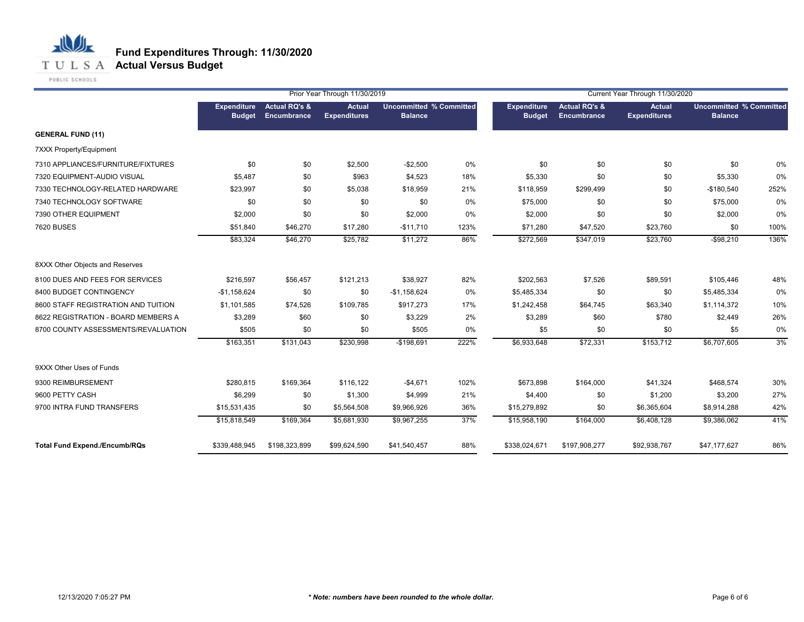

PUBLIC SCHOOLS

|                                      |                                     |                                         | Prior Year Through 11/30/2019        |                                                  |      |                                     |                                         | Current Year Through 11/30/2020      |                                                  |      |
|--------------------------------------|-------------------------------------|-----------------------------------------|--------------------------------------|--------------------------------------------------|------|-------------------------------------|-----------------------------------------|--------------------------------------|--------------------------------------------------|------|
|                                      | <b>Expenditure</b><br><b>Budget</b> | <b>Actual RQ's &amp;</b><br>Encumbrance | <b>Actual</b><br><b>Expenditures</b> | <b>Uncommitted % Committed</b><br><b>Balance</b> |      | <b>Expenditure</b><br><b>Budget</b> | <b>Actual RQ's &amp;</b><br>Encumbrance | <b>Actual</b><br><b>Expenditures</b> | <b>Uncommitted % Committed</b><br><b>Balance</b> |      |
| <b>GENERAL FUND (11)</b>             |                                     |                                         |                                      |                                                  |      |                                     |                                         |                                      |                                                  |      |
| 7XXX Property/Equipment              |                                     |                                         |                                      |                                                  |      |                                     |                                         |                                      |                                                  |      |
| 7310 APPLIANCES/FURNITURE/FIXTURES   | \$0                                 | \$0                                     | \$2,500                              | $-$2,500$                                        | 0%   | \$0                                 | \$0                                     | \$0                                  | \$0                                              | 0%   |
| 7320 EQUIPMENT-AUDIO VISUAL          | \$5,487                             | \$0                                     | \$963                                | \$4,523                                          | 18%  | \$5,330                             | \$0                                     | \$0                                  | \$5,330                                          | 0%   |
| 7330 TECHNOLOGY-RELATED HARDWARE     | \$23,997                            | \$0                                     | \$5,038                              | \$18,959                                         | 21%  | \$118,959                           | \$299,499                               | \$0                                  | $-$180,540$                                      | 252% |
| 7340 TECHNOLOGY SOFTWARE             | \$0                                 | \$0                                     | \$0                                  | \$0                                              | 0%   | \$75,000                            | \$0                                     | \$0                                  | \$75,000                                         | 0%   |
| 7390 OTHER EQUIPMENT                 | \$2,000                             | \$0                                     | \$0                                  | \$2,000                                          | 0%   | \$2,000                             | \$0                                     | \$0                                  | \$2,000                                          | 0%   |
| <b>7620 BUSES</b>                    | \$51,840                            | \$46,270                                | \$17,280                             | $-$11,710$                                       | 123% | \$71,280                            | \$47,520                                | \$23,760                             | \$0                                              | 100% |
|                                      | \$83,324                            | \$46,270                                | \$25,782                             | \$11,272                                         | 86%  | \$272,569                           | \$347,019                               | \$23,760                             | $-$98,210$                                       | 136% |
| 8XXX Other Objects and Reserves      |                                     |                                         |                                      |                                                  |      |                                     |                                         |                                      |                                                  |      |
| 8100 DUES AND FEES FOR SERVICES      | \$216,597                           | \$56,457                                | \$121,213                            | \$38,927                                         | 82%  | \$202,563                           | \$7,526                                 | \$89,591                             | \$105,446                                        | 48%  |
| 8400 BUDGET CONTINGENCY              | $-$1,158,624$                       | \$0                                     | \$0                                  | $-$1,158,624$                                    | 0%   | \$5,485,334                         | \$0                                     | \$0                                  | \$5,485,334                                      | 0%   |
| 8600 STAFF REGISTRATION AND TUITION  | \$1,101,585                         | \$74,526                                | \$109,785                            | \$917,273                                        | 17%  | \$1,242,458                         | \$64,745                                | \$63,340                             | \$1,114,372                                      | 10%  |
| 8622 REGISTRATION - BOARD MEMBERS A  | \$3,289                             | \$60                                    | \$0                                  | \$3,229                                          | 2%   | \$3,289                             | \$60                                    | \$780                                | \$2,449                                          | 26%  |
| 8700 COUNTY ASSESSMENTS/REVALUATION  | \$505                               | \$0                                     | \$0                                  | \$505                                            | 0%   | \$5                                 | \$0                                     | \$0                                  | \$5                                              | 0%   |
|                                      | \$163,351                           | \$131,043                               | \$230,998                            | $-$198,691$                                      | 222% | \$6,933,648                         | \$72,331                                | \$153,712                            | \$6,707,605                                      | 3%   |
| 9XXX Other Uses of Funds             |                                     |                                         |                                      |                                                  |      |                                     |                                         |                                      |                                                  |      |
| 9300 REIMBURSEMENT                   | \$280,815                           | \$169,364                               | \$116,122                            | $-$4,671$                                        | 102% | \$673,898                           | \$164,000                               | \$41,324                             | \$468,574                                        | 30%  |
| 9600 PETTY CASH                      | \$6,299                             | \$0                                     | \$1,300                              | \$4,999                                          | 21%  | \$4,400                             | \$0                                     | \$1,200                              | \$3,200                                          | 27%  |
| 9700 INTRA FUND TRANSFERS            | \$15,531,435                        | \$0                                     | \$5,564,508                          | \$9,966,926                                      | 36%  | \$15,279,892                        | \$0                                     | \$6,365,604                          | \$8,914,288                                      | 42%  |
|                                      | \$15,818,549                        | \$169,364                               | \$5,681,930                          | \$9,967,255                                      | 37%  | \$15,958,190                        | \$164,000                               | \$6,408,128                          | \$9,386,062                                      | 41%  |
| <b>Total Fund Expend./Encumb/RQs</b> | \$339,488,945                       | \$198,323,899                           | \$99,624,590                         | \$41,540,457                                     | 88%  | \$338,024,671                       | \$197,908,277                           | \$92,938,767                         | \$47,177,627                                     | 86%  |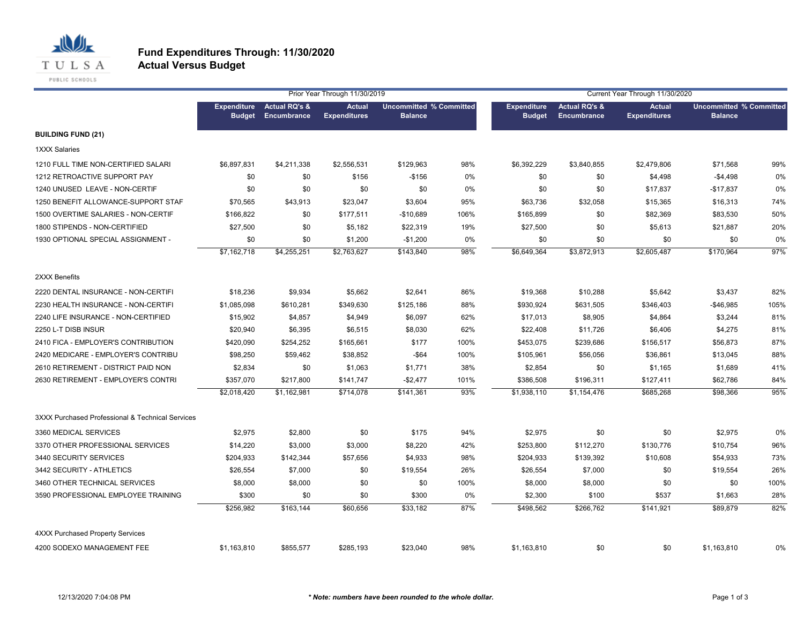

|                                                  |                                     |                                         | Prior Year Through 11/30/2019        |                                                  |      |                              |                                         | Current Year Through 11/30/2020      |                                                  |      |
|--------------------------------------------------|-------------------------------------|-----------------------------------------|--------------------------------------|--------------------------------------------------|------|------------------------------|-----------------------------------------|--------------------------------------|--------------------------------------------------|------|
|                                                  | <b>Expenditure</b><br><b>Budget</b> | <b>Actual RQ's &amp;</b><br>Encumbrance | <b>Actual</b><br><b>Expenditures</b> | <b>Uncommitted % Committed</b><br><b>Balance</b> |      | <b>Expenditure</b><br>Budget | <b>Actual RQ's &amp;</b><br>Encumbrance | <b>Actual</b><br><b>Expenditures</b> | <b>Uncommitted % Committed</b><br><b>Balance</b> |      |
| <b>BUILDING FUND (21)</b>                        |                                     |                                         |                                      |                                                  |      |                              |                                         |                                      |                                                  |      |
| <b>1XXX Salaries</b>                             |                                     |                                         |                                      |                                                  |      |                              |                                         |                                      |                                                  |      |
| 1210 FULL TIME NON-CERTIFIED SALARI              | \$6,897,831                         | \$4,211,338                             | \$2,556,531                          | \$129,963                                        | 98%  | \$6,392,229                  | \$3,840,855                             | \$2,479,806                          | \$71,568                                         | 99%  |
| 1212 RETROACTIVE SUPPORT PAY                     | \$0                                 | \$0                                     | \$156                                | $-$156$                                          | 0%   | \$0                          | \$0                                     | \$4,498                              | $-$4,498$                                        | 0%   |
| 1240 UNUSED LEAVE - NON-CERTIF                   | \$0                                 | \$0                                     | \$0                                  | \$0                                              | 0%   | \$0                          | \$0                                     | \$17,837                             | $-$17,837$                                       | 0%   |
| 1250 BENEFIT ALLOWANCE-SUPPORT STAF              | \$70,565                            | \$43,913                                | \$23,047                             | \$3,604                                          | 95%  | \$63,736                     | \$32,058                                | \$15,365                             | \$16,313                                         | 74%  |
| 1500 OVERTIME SALARIES - NON-CERTIF              | \$166,822                           | \$0                                     | \$177,511                            | $-$10,689$                                       | 106% | \$165,899                    | \$0                                     | \$82,369                             | \$83,530                                         | 50%  |
| 1800 STIPENDS - NON-CERTIFIED                    | \$27,500                            | \$0                                     | \$5,182                              | \$22,319                                         | 19%  | \$27,500                     | \$0                                     | \$5,613                              | \$21,887                                         | 20%  |
| 1930 OPTIONAL SPECIAL ASSIGNMENT -               | \$0                                 | \$0                                     | \$1,200                              | $-$1,200$                                        | 0%   | \$0                          | \$0                                     | \$0                                  | \$0                                              | 0%   |
|                                                  | \$7,162,718                         | \$4,255,251                             | \$2,763,627                          | \$143,840                                        | 98%  | $\overline{$6,649,364}$      | \$3,872,913                             | \$2,605,487                          | \$170,964                                        | 97%  |
| 2XXX Benefits                                    |                                     |                                         |                                      |                                                  |      |                              |                                         |                                      |                                                  |      |
| 2220 DENTAL INSURANCE - NON-CERTIFI              | \$18,236                            | \$9,934                                 | \$5,662                              | \$2,641                                          | 86%  | \$19,368                     | \$10,288                                | \$5,642                              | \$3,437                                          | 82%  |
| 2230 HEALTH INSURANCE - NON-CERTIFI              | \$1,085,098                         | \$610,281                               | \$349,630                            | \$125,186                                        | 88%  | \$930,924                    | \$631,505                               | \$346,403                            | $-$46,985$                                       | 105% |
| 2240 LIFE INSURANCE - NON-CERTIFIED              | \$15,902                            | \$4,857                                 | \$4,949                              | \$6,097                                          | 62%  | \$17,013                     | \$8,905                                 | \$4,864                              | \$3,244                                          | 81%  |
| 2250 L-T DISB INSUR                              | \$20,940                            | \$6,395                                 | \$6,515                              | \$8,030                                          | 62%  | \$22,408                     | \$11,726                                | \$6,406                              | \$4,275                                          | 81%  |
| 2410 FICA - EMPLOYER'S CONTRIBUTION              | \$420,090                           | \$254,252                               | \$165,661                            | \$177                                            | 100% | \$453,075                    | \$239,686                               | \$156,517                            | \$56,873                                         | 87%  |
| 2420 MEDICARE - EMPLOYER'S CONTRIBU              | \$98,250                            | \$59,462                                | \$38,852                             | $-$ \$64                                         | 100% | \$105,961                    | \$56,056                                | \$36,861                             | \$13,045                                         | 88%  |
| 2610 RETIREMENT - DISTRICT PAID NON              | \$2,834                             | \$0                                     | \$1,063                              | \$1,771                                          | 38%  | \$2,854                      | \$0                                     | \$1,165                              | \$1,689                                          | 41%  |
| 2630 RETIREMENT - EMPLOYER'S CONTRI              | \$357,070                           | \$217,800                               | \$141,747                            | $-$2,477$                                        | 101% | \$386,508                    | \$196,311                               | \$127,411                            | \$62,786                                         | 84%  |
|                                                  | \$2,018,420                         | \$1,162,981                             | \$714,078                            | \$141,361                                        | 93%  | \$1,938,110                  | \$1,154,476                             | \$685,268                            | \$98,366                                         | 95%  |
| 3XXX Purchased Professional & Technical Services |                                     |                                         |                                      |                                                  |      |                              |                                         |                                      |                                                  |      |
| 3360 MEDICAL SERVICES                            | \$2,975                             | \$2,800                                 | \$0                                  | \$175                                            | 94%  | \$2,975                      | \$0                                     | \$0                                  | \$2,975                                          | 0%   |
| 3370 OTHER PROFESSIONAL SERVICES                 | \$14,220                            | \$3,000                                 | \$3,000                              | \$8,220                                          | 42%  | \$253,800                    | \$112,270                               | \$130,776                            | \$10,754                                         | 96%  |
| 3440 SECURITY SERVICES                           | \$204,933                           | \$142,344                               | \$57,656                             | \$4,933                                          | 98%  | \$204,933                    | \$139,392                               | \$10,608                             | \$54,933                                         | 73%  |
| 3442 SECURITY - ATHLETICS                        | \$26,554                            | \$7,000                                 | \$0                                  | \$19,554                                         | 26%  | \$26,554                     | \$7,000                                 | \$0                                  | \$19,554                                         | 26%  |
| 3460 OTHER TECHNICAL SERVICES                    | \$8,000                             | \$8,000                                 | \$0                                  | \$0                                              | 100% | \$8,000                      | \$8,000                                 | \$0                                  | \$0                                              | 100% |
| 3590 PROFESSIONAL EMPLOYEE TRAINING              | \$300                               | \$0                                     | \$0                                  | \$300                                            | 0%   | \$2,300                      | \$100                                   | \$537                                | \$1,663                                          | 28%  |
|                                                  | \$256,982                           | \$163,144                               | \$60,656                             | \$33,182                                         | 87%  | \$498,562                    | \$266,762                               | \$141,921                            | \$89,879                                         | 82%  |
| <b>4XXX Purchased Property Services</b>          |                                     |                                         |                                      |                                                  |      |                              |                                         |                                      |                                                  |      |
| 4200 SODEXO MANAGEMENT FEE                       | \$1,163,810                         | \$855,577                               | \$285,193                            | \$23,040                                         | 98%  | \$1,163,810                  | \$0                                     | \$0                                  | \$1,163,810                                      | 0%   |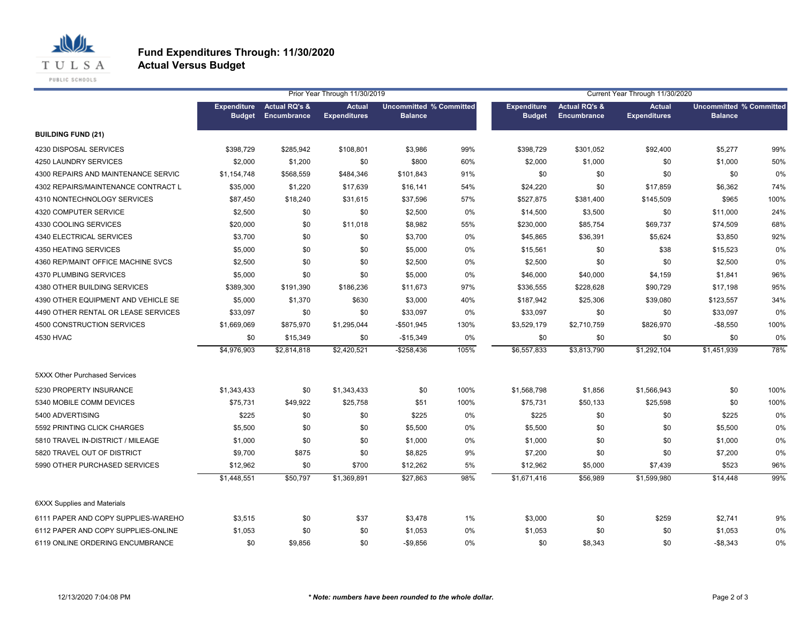

**Actual Versus Budget**

|                                      | Prior Year Through 11/30/2019<br>Current Year Through 11/30/2020 |                                         |                                      |                                                  |      |                                     |                                         |                                      |                                                  |      |
|--------------------------------------|------------------------------------------------------------------|-----------------------------------------|--------------------------------------|--------------------------------------------------|------|-------------------------------------|-----------------------------------------|--------------------------------------|--------------------------------------------------|------|
|                                      | <b>Expenditure</b><br><b>Budget</b>                              | <b>Actual RQ's &amp;</b><br>Encumbrance | <b>Actual</b><br><b>Expenditures</b> | <b>Uncommitted % Committed</b><br><b>Balance</b> |      | <b>Expenditure</b><br><b>Budget</b> | <b>Actual RQ's &amp;</b><br>Encumbrance | <b>Actual</b><br><b>Expenditures</b> | <b>Uncommitted % Committed</b><br><b>Balance</b> |      |
| <b>BUILDING FUND (21)</b>            |                                                                  |                                         |                                      |                                                  |      |                                     |                                         |                                      |                                                  |      |
| 4230 DISPOSAL SERVICES               | \$398,729                                                        | \$285,942                               | \$108,801                            | \$3,986                                          | 99%  | \$398,729                           | \$301,052                               | \$92,400                             | \$5,277                                          | 99%  |
| 4250 LAUNDRY SERVICES                | \$2,000                                                          | \$1,200                                 | \$0                                  | \$800                                            | 60%  | \$2,000                             | \$1,000                                 | \$0                                  | \$1,000                                          | 50%  |
| 4300 REPAIRS AND MAINTENANCE SERVIC  | \$1,154,748                                                      | \$568,559                               | \$484,346                            | \$101,843                                        | 91%  | \$0                                 | \$0                                     | \$0                                  | \$0                                              | 0%   |
| 4302 REPAIRS/MAINTENANCE CONTRACT L  | \$35,000                                                         | \$1,220                                 | \$17,639                             | \$16,141                                         | 54%  | \$24,220                            | \$0                                     | \$17,859                             | \$6,362                                          | 74%  |
| 4310 NONTECHNOLOGY SERVICES          | \$87,450                                                         | \$18,240                                | \$31,615                             | \$37,596                                         | 57%  | \$527,875                           | \$381,400                               | \$145,509                            | \$965                                            | 100% |
| 4320 COMPUTER SERVICE                | \$2,500                                                          | \$0                                     | \$0                                  | \$2,500                                          | 0%   | \$14,500                            | \$3,500                                 | \$0                                  | \$11,000                                         | 24%  |
| 4330 COOLING SERVICES                | \$20,000                                                         | \$0                                     | \$11,018                             | \$8,982                                          | 55%  | \$230,000                           | \$85,754                                | \$69,737                             | \$74,509                                         | 68%  |
| 4340 ELECTRICAL SERVICES             | \$3,700                                                          | \$0                                     | \$0                                  | \$3,700                                          | 0%   | \$45,865                            | \$36,391                                | \$5,624                              | \$3,850                                          | 92%  |
| 4350 HEATING SERVICES                | \$5,000                                                          | \$0                                     | \$0                                  | \$5,000                                          | 0%   | \$15,561                            | \$0                                     | \$38                                 | \$15,523                                         | 0%   |
| 4360 REP/MAINT OFFICE MACHINE SVCS   | \$2,500                                                          | \$0                                     | \$0                                  | \$2,500                                          | 0%   | \$2,500                             | \$0                                     | \$0                                  | \$2,500                                          | 0%   |
| 4370 PLUMBING SERVICES               | \$5,000                                                          | \$0                                     | \$0                                  | \$5,000                                          | 0%   | \$46,000                            | \$40,000                                | \$4,159                              | \$1,841                                          | 96%  |
| 4380 OTHER BUILDING SERVICES         | \$389,300                                                        | \$191,390                               | \$186,236                            | \$11,673                                         | 97%  | \$336,555                           | \$228,628                               | \$90,729                             | \$17,198                                         | 95%  |
| 4390 OTHER EQUIPMENT AND VEHICLE SE  | \$5,000                                                          | \$1,370                                 | \$630                                | \$3,000                                          | 40%  | \$187,942                           | \$25,306                                | \$39,080                             | \$123,557                                        | 34%  |
| 4490 OTHER RENTAL OR LEASE SERVICES  | \$33,097                                                         | \$0                                     | \$0                                  | \$33,097                                         | 0%   | \$33,097                            | \$0                                     | \$0                                  | \$33,097                                         | 0%   |
| 4500 CONSTRUCTION SERVICES           | \$1,669,069                                                      | \$875,970                               | \$1,295,044                          | -\$501,945                                       | 130% | \$3,529,179                         | \$2,710,759                             | \$826,970                            | $-$8,550$                                        | 100% |
| 4530 HVAC                            | \$0                                                              | \$15,349                                | \$0                                  | $-$15,349$                                       | 0%   | \$0                                 | \$0                                     | \$0                                  | \$0                                              | 0%   |
|                                      | \$4,976,903                                                      | \$2,814,818                             | \$2,420,521                          | $-$ \$258,436                                    | 105% | \$6,557,833                         | \$3,813,790                             | \$1,292,104                          | \$1,451,939                                      | 78%  |
| <b>5XXX Other Purchased Services</b> |                                                                  |                                         |                                      |                                                  |      |                                     |                                         |                                      |                                                  |      |
| 5230 PROPERTY INSURANCE              | \$1,343,433                                                      | \$0                                     | \$1,343,433                          | \$0                                              | 100% | \$1,568,798                         | \$1,856                                 | \$1,566,943                          | \$0                                              | 100% |
| 5340 MOBILE COMM DEVICES             | \$75,731                                                         | \$49,922                                | \$25,758                             | \$51                                             | 100% | \$75,731                            | \$50,133                                | \$25,598                             | \$0                                              | 100% |
| 5400 ADVERTISING                     | \$225                                                            | \$0                                     | \$0                                  | \$225                                            | 0%   | \$225                               | \$0                                     | \$0                                  | \$225                                            | 0%   |
| 5592 PRINTING CLICK CHARGES          | \$5,500                                                          | \$0                                     | \$0                                  | \$5,500                                          | 0%   | \$5,500                             | \$0                                     | \$0                                  | \$5,500                                          | 0%   |
| 5810 TRAVEL IN-DISTRICT / MILEAGE    | \$1,000                                                          | \$0                                     | \$0                                  | \$1,000                                          | 0%   | \$1,000                             | \$0                                     | \$0                                  | \$1,000                                          | 0%   |
| 5820 TRAVEL OUT OF DISTRICT          | \$9,700                                                          | \$875                                   | \$0                                  | \$8,825                                          | 9%   | \$7,200                             | \$0                                     | \$0                                  | \$7,200                                          | 0%   |
| 5990 OTHER PURCHASED SERVICES        | \$12,962                                                         | \$0                                     | \$700                                | \$12,262                                         | 5%   | \$12,962                            | \$5,000                                 | \$7,439                              | \$523                                            | 96%  |
|                                      | \$1,448,551                                                      | \$50,797                                | \$1,369,891                          | \$27,863                                         | 98%  | \$1,671,416                         | \$56,989                                | \$1,599,980                          | \$14,448                                         | 99%  |
| <b>6XXX Supplies and Materials</b>   |                                                                  |                                         |                                      |                                                  |      |                                     |                                         |                                      |                                                  |      |
| 6111 PAPER AND COPY SUPPLIES-WAREHO  | \$3,515                                                          | \$0                                     | \$37                                 | \$3,478                                          | 1%   | \$3,000                             | \$0                                     | \$259                                | \$2,741                                          | 9%   |
| 6112 PAPER AND COPY SUPPLIES-ONLINE  | \$1,053                                                          | \$0                                     | \$0                                  | \$1,053                                          | 0%   | \$1,053                             | \$0                                     | \$0                                  | \$1,053                                          | 0%   |
| 6119 ONLINE ORDERING ENCUMBRANCE     | \$0                                                              | \$9,856                                 | \$0                                  | -\$9,856                                         | 0%   | \$0                                 | \$8,343                                 | \$0                                  | $-$ \$8,343                                      | 0%   |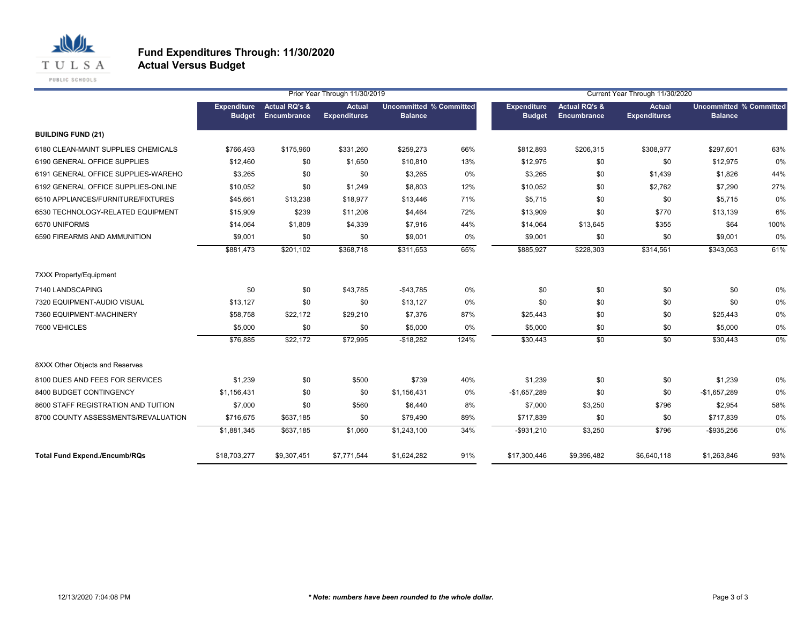

**Actual Versus Budget**

|                                      |                                     |                                         | Prior Year Through 11/30/2019        |                                                  |       | Current Year Through 11/30/2020     |                                         |                                      |                                                  |      |  |
|--------------------------------------|-------------------------------------|-----------------------------------------|--------------------------------------|--------------------------------------------------|-------|-------------------------------------|-----------------------------------------|--------------------------------------|--------------------------------------------------|------|--|
|                                      | <b>Expenditure</b><br><b>Budget</b> | <b>Actual RQ's &amp;</b><br>Encumbrance | <b>Actual</b><br><b>Expenditures</b> | <b>Uncommitted % Committed</b><br><b>Balance</b> |       | <b>Expenditure</b><br><b>Budget</b> | <b>Actual RQ's &amp;</b><br>Encumbrance | <b>Actual</b><br><b>Expenditures</b> | <b>Uncommitted % Committed</b><br><b>Balance</b> |      |  |
| <b>BUILDING FUND (21)</b>            |                                     |                                         |                                      |                                                  |       |                                     |                                         |                                      |                                                  |      |  |
| 6180 CLEAN-MAINT SUPPLIES CHEMICALS  | \$766.493                           | \$175,960                               | \$331,260                            | \$259,273                                        | 66%   | \$812,893                           | \$206,315                               | \$308,977                            | \$297.601                                        | 63%  |  |
| 6190 GENERAL OFFICE SUPPLIES         | \$12,460                            | \$0                                     | \$1,650                              | \$10,810                                         | 13%   | \$12,975                            | \$0                                     | \$0                                  | \$12,975                                         | 0%   |  |
| 6191 GENERAL OFFICE SUPPLIES-WAREHO  | \$3,265                             | \$0                                     | \$0                                  | \$3,265                                          | 0%    | \$3,265                             | \$0                                     | \$1,439                              | \$1,826                                          | 44%  |  |
| 6192 GENERAL OFFICE SUPPLIES-ONLINE  | \$10,052                            | \$0                                     | \$1,249                              | \$8,803                                          | 12%   | \$10,052                            | \$0                                     | \$2,762                              | \$7,290                                          | 27%  |  |
| 6510 APPLIANCES/FURNITURE/FIXTURES   | \$45,661                            | \$13,238                                | \$18,977                             | \$13,446                                         | 71%   | \$5,715                             | \$0                                     | \$0                                  | \$5,715                                          | 0%   |  |
| 6530 TECHNOLOGY-RELATED EQUIPMENT    | \$15,909                            | \$239                                   | \$11,206                             | \$4,464                                          | 72%   | \$13,909                            | \$0                                     | \$770                                | \$13,139                                         | 6%   |  |
| 6570 UNIFORMS                        | \$14,064                            | \$1,809                                 | \$4,339                              | \$7,916                                          | 44%   | \$14,064                            | \$13,645                                | \$355                                | \$64                                             | 100% |  |
| 6590 FIREARMS AND AMMUNITION         | \$9,001                             | \$0                                     | \$0                                  | \$9,001                                          | 0%    | \$9,001                             | \$0                                     | \$0                                  | \$9,001                                          | 0%   |  |
|                                      | \$881,473                           | \$201,102                               | \$368,718                            | \$311,653                                        | 65%   | \$885,927                           | \$228,303                               | \$314,561                            | \$343,063                                        | 61%  |  |
| <b>7XXX Property/Equipment</b>       |                                     |                                         |                                      |                                                  |       |                                     |                                         |                                      |                                                  |      |  |
| 7140 LANDSCAPING                     | \$0                                 | \$0                                     | \$43,785                             | $-$43,785$                                       | $0\%$ | \$0                                 | \$0                                     | \$0                                  | \$0                                              | 0%   |  |
| 7320 EQUIPMENT-AUDIO VISUAL          | \$13,127                            | \$0                                     | \$0                                  | \$13,127                                         | 0%    | \$0                                 | \$0                                     | \$0                                  | \$0                                              | 0%   |  |
| 7360 EQUIPMENT-MACHINERY             | \$58,758                            | \$22,172                                | \$29,210                             | \$7,376                                          | 87%   | \$25,443                            | \$0                                     | \$0                                  | \$25,443                                         | 0%   |  |
| 7600 VEHICLES                        | \$5,000                             | \$0                                     | \$0                                  | \$5,000                                          | 0%    | \$5,000                             | \$0                                     | \$0                                  | \$5,000                                          | 0%   |  |
|                                      | \$76,885                            | \$22,172                                | \$72,995                             | $-$18,282$                                       | 124%  | \$30,443                            | \$0                                     | \$0                                  | \$30,443                                         | 0%   |  |
| 8XXX Other Objects and Reserves      |                                     |                                         |                                      |                                                  |       |                                     |                                         |                                      |                                                  |      |  |
| 8100 DUES AND FEES FOR SERVICES      | \$1,239                             | \$0                                     | \$500                                | \$739                                            | 40%   | \$1,239                             | \$0                                     | \$0                                  | \$1,239                                          | 0%   |  |
| 8400 BUDGET CONTINGENCY              | \$1,156,431                         | \$0                                     | \$0                                  | \$1,156,431                                      | 0%    | $-$1,657,289$                       | \$0                                     | \$0                                  | $-$1,657,289$                                    | 0%   |  |
| 8600 STAFF REGISTRATION AND TUITION  | \$7,000                             | \$0                                     | \$560                                | \$6,440                                          | 8%    | \$7,000                             | \$3,250                                 | \$796                                | \$2,954                                          | 58%  |  |
| 8700 COUNTY ASSESSMENTS/REVALUATION  | \$716,675                           | \$637,185                               | \$0                                  | \$79,490                                         | 89%   | \$717,839                           | \$0                                     | \$0                                  | \$717,839                                        | 0%   |  |
|                                      | \$1,881,345                         | \$637,185                               | \$1,060                              | \$1,243,100                                      | 34%   | $-$ \$931,210                       | \$3,250                                 | \$796                                | $-$ \$935,256                                    | 0%   |  |
| <b>Total Fund Expend./Encumb/RQs</b> | \$18,703,277                        | \$9,307,451                             | \$7,771,544                          | \$1,624,282                                      | 91%   | \$17,300,446                        | \$9,396,482                             | \$6,640,118                          | \$1,263,846                                      | 93%  |  |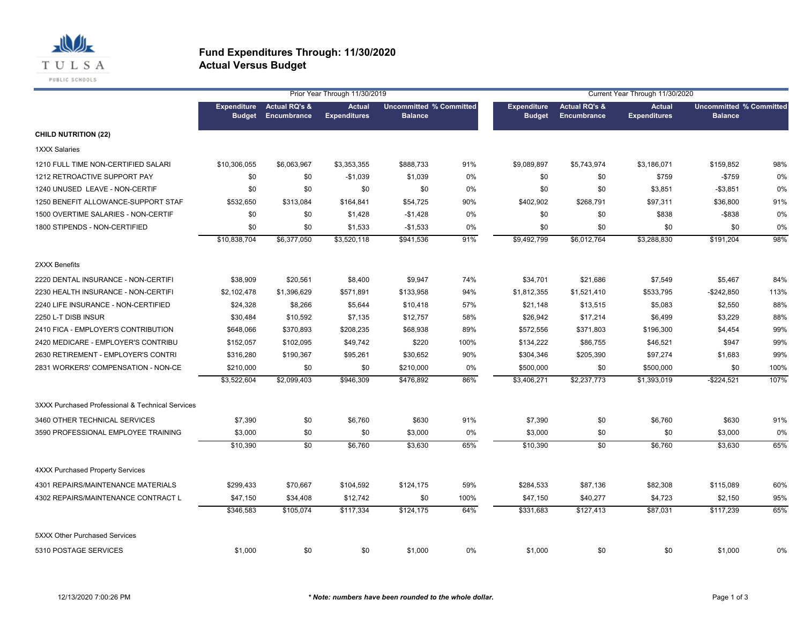

|                                                  |                                     |                                         | Prior Year Through 11/30/2019        |                                                  |      | Current Year Through 11/30/2020     |                                         |                                      |                                                  |      |  |
|--------------------------------------------------|-------------------------------------|-----------------------------------------|--------------------------------------|--------------------------------------------------|------|-------------------------------------|-----------------------------------------|--------------------------------------|--------------------------------------------------|------|--|
|                                                  | <b>Expenditure</b><br><b>Budget</b> | <b>Actual RQ's &amp;</b><br>Encumbrance | <b>Actual</b><br><b>Expenditures</b> | <b>Uncommitted % Committed</b><br><b>Balance</b> |      | <b>Expenditure</b><br><b>Budget</b> | <b>Actual RQ's &amp;</b><br>Encumbrance | <b>Actual</b><br><b>Expenditures</b> | <b>Uncommitted % Committed</b><br><b>Balance</b> |      |  |
| <b>CHILD NUTRITION (22)</b>                      |                                     |                                         |                                      |                                                  |      |                                     |                                         |                                      |                                                  |      |  |
| <b>1XXX Salaries</b>                             |                                     |                                         |                                      |                                                  |      |                                     |                                         |                                      |                                                  |      |  |
| 1210 FULL TIME NON-CERTIFIED SALARI              | \$10,306,055                        | \$6,063,967                             | \$3,353,355                          | \$888,733                                        | 91%  | \$9,089,897                         | \$5,743,974                             | \$3,186,071                          | \$159,852                                        | 98%  |  |
| 1212 RETROACTIVE SUPPORT PAY                     | \$0                                 | \$0                                     | $-$1,039$                            | \$1,039                                          | 0%   | \$0                                 | \$0                                     | \$759                                | $-$759$                                          | 0%   |  |
| 1240 UNUSED LEAVE - NON-CERTIF                   | \$0                                 | \$0                                     | \$0                                  | \$0                                              | 0%   | \$0                                 | \$0                                     | \$3,851                              | $- $3,851$                                       | 0%   |  |
| 1250 BENEFIT ALLOWANCE-SUPPORT STAF              | \$532,650                           | \$313,084                               | \$164,841                            | \$54,725                                         | 90%  | \$402,902                           | \$268,791                               | \$97,311                             | \$36,800                                         | 91%  |  |
| 1500 OVERTIME SALARIES - NON-CERTIF              | \$0                                 | \$0                                     | \$1,428                              | $-$1,428$                                        | 0%   | \$0                                 | \$0                                     | \$838                                | $-$ \$838                                        | 0%   |  |
| 1800 STIPENDS - NON-CERTIFIED                    | \$0                                 | \$0                                     | \$1,533                              | $-$1,533$                                        | 0%   | \$0                                 | \$0                                     | \$0                                  | \$0                                              | 0%   |  |
|                                                  | \$10,838,704                        | \$6,377,050                             | \$3,520,118                          | \$941,536                                        | 91%  | \$9,492,799                         | \$6,012,764                             | \$3,288,830                          | $\overline{$}191,204$                            | 98%  |  |
| 2XXX Benefits                                    |                                     |                                         |                                      |                                                  |      |                                     |                                         |                                      |                                                  |      |  |
| 2220 DENTAL INSURANCE - NON-CERTIFI              | \$38,909                            | \$20,561                                | \$8,400                              | \$9,947                                          | 74%  | \$34,701                            | \$21,686                                | \$7,549                              | \$5,467                                          | 84%  |  |
| 2230 HEALTH INSURANCE - NON-CERTIFI              | \$2,102,478                         | \$1,396,629                             | \$571,891                            | \$133,958                                        | 94%  | \$1,812,355                         | \$1,521,410                             | \$533,795                            | $-$242,850$                                      | 113% |  |
| 2240 LIFE INSURANCE - NON-CERTIFIED              | \$24,328                            | \$8,266                                 | \$5,644                              | \$10,418                                         | 57%  | \$21,148                            | \$13,515                                | \$5,083                              | \$2,550                                          | 88%  |  |
| 2250 L-T DISB INSUR                              | \$30,484                            | \$10,592                                | \$7,135                              | \$12,757                                         | 58%  | \$26,942                            | \$17,214                                | \$6,499                              | \$3,229                                          | 88%  |  |
| 2410 FICA - EMPLOYER'S CONTRIBUTION              | \$648,066                           | \$370,893                               | \$208,235                            | \$68,938                                         | 89%  | \$572,556                           | \$371,803                               | \$196,300                            | \$4,454                                          | 99%  |  |
| 2420 MEDICARE - EMPLOYER'S CONTRIBU              | \$152,057                           | \$102,095                               | \$49,742                             | \$220                                            | 100% | \$134,222                           | \$86,755                                | \$46,521                             | \$947                                            | 99%  |  |
| 2630 RETIREMENT - EMPLOYER'S CONTRI              | \$316,280                           | \$190,367                               | \$95,261                             | \$30,652                                         | 90%  | \$304,346                           | \$205,390                               | \$97,274                             | \$1,683                                          | 99%  |  |
| 2831 WORKERS' COMPENSATION - NON-CE              | \$210,000                           | \$0                                     | \$0                                  | \$210,000                                        | 0%   | \$500,000                           | \$0                                     | \$500,000                            | \$0                                              | 100% |  |
|                                                  | \$3,522,604                         | \$2,099,403                             | \$946,309                            | \$476,892                                        | 86%  | \$3,406,271                         | \$2,237,773                             | \$1,393,019                          | $-$224,521$                                      | 107% |  |
| 3XXX Purchased Professional & Technical Services |                                     |                                         |                                      |                                                  |      |                                     |                                         |                                      |                                                  |      |  |
| 3460 OTHER TECHNICAL SERVICES                    | \$7,390                             | \$0                                     | \$6,760                              | \$630                                            | 91%  | \$7,390                             | \$0                                     | \$6,760                              | \$630                                            | 91%  |  |
| 3590 PROFESSIONAL EMPLOYEE TRAINING              | \$3,000                             | \$0                                     | \$0                                  | \$3,000                                          | 0%   | \$3,000                             | \$0                                     | \$0                                  | \$3,000                                          | 0%   |  |
|                                                  | \$10,390                            | \$0                                     | \$6,760                              | \$3,630                                          | 65%  | \$10,390                            | \$0                                     | \$6,760                              | \$3,630                                          | 65%  |  |
| <b>4XXX Purchased Property Services</b>          |                                     |                                         |                                      |                                                  |      |                                     |                                         |                                      |                                                  |      |  |
| 4301 REPAIRS/MAINTENANCE MATERIALS               | \$299,433                           | \$70,667                                | \$104,592                            | \$124,175                                        | 59%  | \$284,533                           | \$87,136                                | \$82,308                             | \$115,089                                        | 60%  |  |
| 4302 REPAIRS/MAINTENANCE CONTRACT L              | \$47,150                            | \$34,408                                | \$12,742                             | \$0                                              | 100% | \$47,150                            | \$40,277                                | \$4,723                              | \$2,150                                          | 95%  |  |
|                                                  | \$346,583                           | \$105,074                               | \$117,334                            | \$124,175                                        | 64%  | \$331,683                           | \$127,413                               | \$87,031                             | \$117,239                                        | 65%  |  |
| <b>5XXX Other Purchased Services</b>             |                                     |                                         |                                      |                                                  |      |                                     |                                         |                                      |                                                  |      |  |
| 5310 POSTAGE SERVICES                            | \$1,000                             | \$0                                     | \$0                                  | \$1,000                                          | 0%   | \$1,000                             | \$0                                     | \$0                                  | \$1,000                                          | 0%   |  |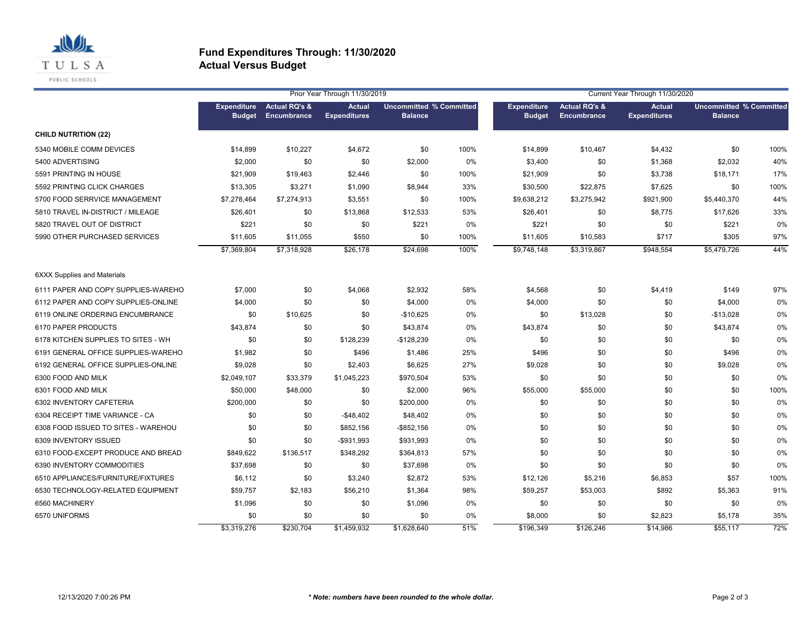

|                                     |             |                                                               | Prior Year Through 11/30/2019        |                                                  | Current Year Through 11/30/2020 |                                     |                                         |                                      |                                                  |      |
|-------------------------------------|-------------|---------------------------------------------------------------|--------------------------------------|--------------------------------------------------|---------------------------------|-------------------------------------|-----------------------------------------|--------------------------------------|--------------------------------------------------|------|
|                                     |             | <b>Expenditure</b> Actual RQ's &<br><b>Budget Encumbrance</b> | <b>Actual</b><br><b>Expenditures</b> | <b>Uncommitted % Committed</b><br><b>Balance</b> |                                 | <b>Expenditure</b><br><b>Budget</b> | <b>Actual RQ's &amp;</b><br>Encumbrance | <b>Actual</b><br><b>Expenditures</b> | <b>Uncommitted % Committed</b><br><b>Balance</b> |      |
| <b>CHILD NUTRITION (22)</b>         |             |                                                               |                                      |                                                  |                                 |                                     |                                         |                                      |                                                  |      |
| 5340 MOBILE COMM DEVICES            | \$14,899    | \$10,227                                                      | \$4,672                              | \$0                                              | 100%                            | \$14,899                            | \$10,467                                | \$4,432                              | \$0                                              | 100% |
| 5400 ADVERTISING                    | \$2,000     | \$0                                                           | \$0                                  | \$2,000                                          | 0%                              | \$3,400                             | \$0                                     | \$1,368                              | \$2,032                                          | 40%  |
| 5591 PRINTING IN HOUSE              | \$21,909    | \$19,463                                                      | \$2,446                              | \$0                                              | 100%                            | \$21,909                            | \$0                                     | \$3,738                              | \$18,171                                         | 17%  |
| 5592 PRINTING CLICK CHARGES         | \$13,305    | \$3,271                                                       | \$1,090                              | \$8,944                                          | 33%                             | \$30,500                            | \$22,875                                | \$7,625                              | \$0                                              | 100% |
| 5700 FOOD SERRVICE MANAGEMENT       | \$7,278,464 | \$7,274,913                                                   | \$3,551                              | \$0                                              | 100%                            | \$9,638,212                         | \$3,275,942                             | \$921,900                            | \$5,440,370                                      | 44%  |
| 5810 TRAVEL IN-DISTRICT / MILEAGE   | \$26,401    | \$0                                                           | \$13,868                             | \$12,533                                         | 53%                             | \$26,401                            | \$0                                     | \$8,775                              | \$17,626                                         | 33%  |
| 5820 TRAVEL OUT OF DISTRICT         | \$221       | \$0                                                           | \$0                                  | \$221                                            | 0%                              | \$221                               | \$0                                     | \$0                                  | \$221                                            | 0%   |
| 5990 OTHER PURCHASED SERVICES       | \$11,605    | \$11,055                                                      | \$550                                | \$0                                              | 100%                            | \$11,605                            | \$10,583                                | \$717                                | \$305                                            | 97%  |
|                                     | \$7,369,804 | \$7,318,928                                                   | \$26,178                             | \$24,698                                         | 100%                            | \$9,748,148                         | \$3,319,867                             | \$948,554                            | \$5,479,726                                      | 44%  |
| <b>6XXX Supplies and Materials</b>  |             |                                                               |                                      |                                                  |                                 |                                     |                                         |                                      |                                                  |      |
| 6111 PAPER AND COPY SUPPLIES-WAREHO | \$7,000     | \$0                                                           | \$4,068                              | \$2,932                                          | 58%                             | \$4,568                             | \$0                                     | \$4,419                              | \$149                                            | 97%  |
| 6112 PAPER AND COPY SUPPLIES-ONLINE | \$4,000     | \$0                                                           | \$0                                  | \$4,000                                          | 0%                              | \$4,000                             | \$0                                     | \$0                                  | \$4,000                                          | 0%   |
| 6119 ONLINE ORDERING ENCUMBRANCE    | \$0         | \$10,625                                                      | \$0                                  | $-$10,625$                                       | 0%                              | \$0                                 | \$13,028                                | \$0                                  | $-$13,028$                                       | 0%   |
| 6170 PAPER PRODUCTS                 | \$43,874    | \$0                                                           | \$0                                  | \$43,874                                         | 0%                              | \$43,874                            | \$0                                     | \$0                                  | \$43,874                                         | 0%   |
| 6178 KITCHEN SUPPLIES TO SITES - WH | \$0         | \$0                                                           | \$128,239                            | $-$128,239$                                      | 0%                              | \$0                                 | \$0                                     | \$0                                  | \$0                                              | 0%   |
| 6191 GENERAL OFFICE SUPPLIES-WAREHO | \$1,982     | \$0                                                           | \$496                                | \$1,486                                          | 25%                             | \$496                               | \$0                                     | \$0                                  | \$496                                            | 0%   |
| 6192 GENERAL OFFICE SUPPLIES-ONLINE | \$9,028     | \$0                                                           | \$2,403                              | \$6,625                                          | 27%                             | \$9,028                             | \$0                                     | \$0                                  | \$9,028                                          | 0%   |
| 6300 FOOD AND MILK                  | \$2,049,107 | \$33,379                                                      | \$1,045,223                          | \$970,504                                        | 53%                             | \$0                                 | \$0                                     | \$0                                  | \$0                                              | 0%   |
| 6301 FOOD AND MILK                  | \$50,000    | \$48,000                                                      | \$0                                  | \$2,000                                          | 96%                             | \$55,000                            | \$55,000                                | \$0                                  | \$0                                              | 100% |
| 6302 INVENTORY CAFETERIA            | \$200,000   | \$0                                                           | \$0                                  | \$200,000                                        | 0%                              | \$0                                 | \$0                                     | \$0                                  | \$0                                              | 0%   |
| 6304 RECEIPT TIME VARIANCE - CA     | \$0         | \$0                                                           | $-$48,402$                           | \$48,402                                         | 0%                              | \$0                                 | \$0                                     | \$0                                  | \$0                                              | 0%   |
| 6308 FOOD ISSUED TO SITES - WAREHOU | \$0         | \$0                                                           | \$852,156                            | $-$ \$852,156                                    | $0\%$                           | \$0                                 | \$0                                     | \$0                                  | \$0                                              | 0%   |
| 6309 INVENTORY ISSUED               | \$0         | \$0                                                           | -\$931,993                           | \$931,993                                        | 0%                              | \$0                                 | \$0                                     | \$0                                  | \$0                                              | 0%   |
| 6310 FOOD-EXCEPT PRODUCE AND BREAD  | \$849,622   | \$136,517                                                     | \$348,292                            | \$364,813                                        | 57%                             | \$0                                 | \$0                                     | \$0                                  | \$0                                              | 0%   |
| 6390 INVENTORY COMMODITIES          | \$37,698    | \$0                                                           | \$0                                  | \$37,698                                         | 0%                              | \$0                                 | \$0                                     | \$0                                  | \$0                                              | 0%   |
| 6510 APPLIANCES/FURNITURE/FIXTURES  | \$6,112     | \$0                                                           | \$3,240                              | \$2,872                                          | 53%                             | \$12,126                            | \$5,216                                 | \$6,853                              | \$57                                             | 100% |
| 6530 TECHNOLOGY-RELATED EQUIPMENT   | \$59,757    | \$2,183                                                       | \$56,210                             | \$1,364                                          | 98%                             | \$59,257                            | \$53,003                                | \$892                                | \$5,363                                          | 91%  |
| 6560 MACHINERY                      | \$1,096     | \$0                                                           | \$0                                  | \$1,096                                          | 0%                              | \$0                                 | \$0                                     | \$0                                  | \$0                                              | 0%   |
| 6570 UNIFORMS                       | \$0         | \$0                                                           | \$0                                  | \$0                                              | 0%                              | \$8,000                             | \$0                                     | \$2,823                              | \$5,178                                          | 35%  |
|                                     | \$3,319,276 | \$230,704                                                     | \$1,459,932                          | \$1,628,640                                      | 51%                             | \$196,349                           | \$126,246                               | \$14,986                             | \$55,117                                         | 72%  |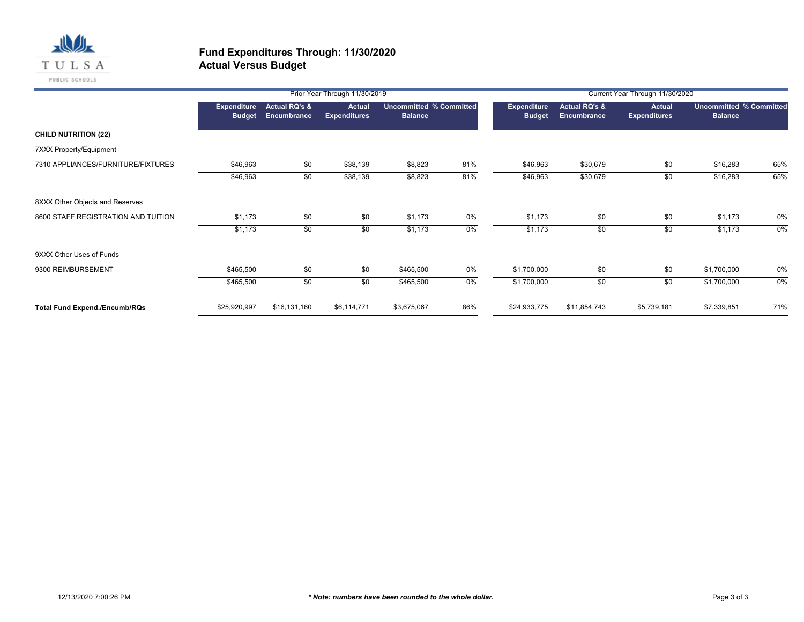

|                                      |                                     |                                                | Prior Year Through 11/30/2019        |                |                                | Current Year Through 11/30/2020     |                                         |                                      |                                                  |     |  |
|--------------------------------------|-------------------------------------|------------------------------------------------|--------------------------------------|----------------|--------------------------------|-------------------------------------|-----------------------------------------|--------------------------------------|--------------------------------------------------|-----|--|
|                                      | <b>Expenditure</b><br><b>Budget</b> | <b>Actual RQ's &amp;</b><br><b>Encumbrance</b> | <b>Actual</b><br><b>Expenditures</b> | <b>Balance</b> | <b>Uncommitted % Committed</b> | <b>Expenditure</b><br><b>Budget</b> | <b>Actual RQ's &amp;</b><br>Encumbrance | <b>Actual</b><br><b>Expenditures</b> | <b>Uncommitted % Committed</b><br><b>Balance</b> |     |  |
| <b>CHILD NUTRITION (22)</b>          |                                     |                                                |                                      |                |                                |                                     |                                         |                                      |                                                  |     |  |
| 7XXX Property/Equipment              |                                     |                                                |                                      |                |                                |                                     |                                         |                                      |                                                  |     |  |
| 7310 APPLIANCES/FURNITURE/FIXTURES   | \$46,963                            | \$0                                            | \$38,139                             | \$8,823        | 81%                            | \$46,963                            | \$30,679                                | \$0                                  | \$16,283                                         | 65% |  |
|                                      | \$46,963                            | \$0                                            | \$38,139                             | \$8,823        | 81%                            | \$46,963                            | \$30,679                                | \$0                                  | \$16,283                                         | 65% |  |
| 8XXX Other Objects and Reserves      |                                     |                                                |                                      |                |                                |                                     |                                         |                                      |                                                  |     |  |
| 8600 STAFF REGISTRATION AND TUITION  | \$1,173                             | \$0                                            | \$0                                  | \$1,173        | 0%                             | \$1,173                             | \$0                                     | \$0                                  | \$1,173                                          | 0%  |  |
|                                      | \$1,173                             | \$0                                            | \$0                                  | \$1,173        | $0\%$                          | \$1,173                             | \$0                                     | \$0                                  | \$1,173                                          | 0%  |  |
| 9XXX Other Uses of Funds             |                                     |                                                |                                      |                |                                |                                     |                                         |                                      |                                                  |     |  |
| 9300 REIMBURSEMENT                   | \$465,500                           | \$0                                            | \$0                                  | \$465,500      | 0%                             | \$1,700,000                         | \$0                                     | \$0                                  | \$1,700,000                                      | 0%  |  |
|                                      | \$465,500                           | \$0                                            | \$0                                  | \$465,500      | $0\%$                          | \$1,700,000                         | \$0                                     | \$0                                  | \$1,700,000                                      | 0%  |  |
| <b>Total Fund Expend./Encumb/RQs</b> | \$25,920,997                        | \$16,131,160                                   | \$6,114,771                          | \$3,675,067    | 86%                            | \$24,933,775                        | \$11,854,743                            | \$5,739,181                          | \$7,339,851                                      | 71% |  |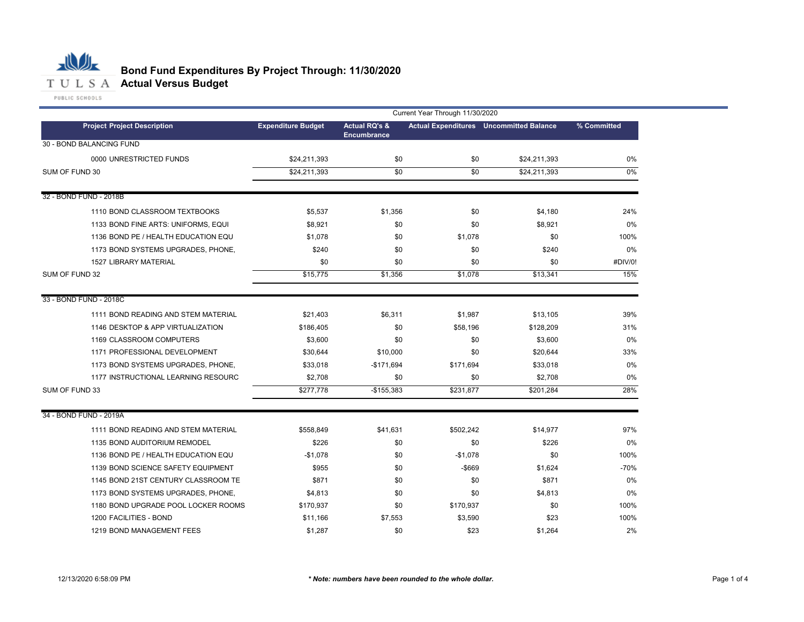

|                                     | Current Year Through 11/30/2020 |                                                |                 |                                                |             |  |  |
|-------------------------------------|---------------------------------|------------------------------------------------|-----------------|------------------------------------------------|-------------|--|--|
| <b>Project Project Description</b>  | <b>Expenditure Budget</b>       | <b>Actual RQ's &amp;</b><br><b>Encumbrance</b> |                 | <b>Actual Expenditures</b> Uncommitted Balance | % Committed |  |  |
| 30 - BOND BALANCING FUND            |                                 |                                                |                 |                                                |             |  |  |
| 0000 UNRESTRICTED FUNDS             | \$24,211,393                    | \$0                                            | \$0             | \$24,211,393                                   | 0%          |  |  |
| SUM OF FUND 30                      | \$24,211,393                    | $\overline{30}$                                | $\overline{30}$ | \$24,211,393                                   | 0%          |  |  |
|                                     |                                 |                                                |                 |                                                |             |  |  |
| 32 - BOND FUND - 2018B              |                                 |                                                |                 |                                                |             |  |  |
| 1110 BOND CLASSROOM TEXTBOOKS       | \$5,537                         | \$1,356                                        | \$0             | \$4,180                                        | 24%         |  |  |
| 1133 BOND FINE ARTS: UNIFORMS, EQUI | \$8,921                         | \$0                                            | \$0             | \$8,921                                        | 0%          |  |  |
| 1136 BOND PE / HEALTH EDUCATION EQU | \$1,078                         | \$0                                            | \$1,078         | \$0                                            | 100%        |  |  |
| 1173 BOND SYSTEMS UPGRADES, PHONE,  | \$240                           | \$0                                            | \$0             | \$240                                          | 0%          |  |  |
| 1527 LIBRARY MATERIAL               | \$0                             | \$0                                            | \$0             | \$0                                            | #DIV/0!     |  |  |
| SUM OF FUND 32                      | \$15,775                        | \$1,356                                        | \$1,078         | \$13,341                                       | 15%         |  |  |
| 33 - BOND FUND - 2018C              |                                 |                                                |                 |                                                |             |  |  |
| 1111 BOND READING AND STEM MATERIAL | \$21,403                        | \$6,311                                        | \$1,987         | \$13,105                                       | 39%         |  |  |
| 1146 DESKTOP & APP VIRTUALIZATION   | \$186,405                       | \$0                                            | \$58,196        | \$128,209                                      | 31%         |  |  |
| 1169 CLASSROOM COMPUTERS            | \$3,600                         | \$0                                            | \$0             | \$3,600                                        | 0%          |  |  |
| 1171 PROFESSIONAL DEVELOPMENT       | \$30,644                        | \$10,000                                       | \$0             | \$20,644                                       | 33%         |  |  |
| 1173 BOND SYSTEMS UPGRADES, PHONE,  | \$33,018                        | $-$171,694$                                    | \$171,694       | \$33,018                                       | 0%          |  |  |
| 1177 INSTRUCTIONAL LEARNING RESOURC | \$2,708                         | \$0                                            | \$0             | \$2,708                                        | 0%          |  |  |
| SUM OF FUND 33                      | \$277,778                       | $-$155,383$                                    | \$231,877       | \$201,284                                      | 28%         |  |  |
| 34 - BOND FUND - 2019A              |                                 |                                                |                 |                                                |             |  |  |
| 1111 BOND READING AND STEM MATERIAL | \$558,849                       | \$41,631                                       | \$502,242       | \$14,977                                       | 97%         |  |  |
| 1135 BOND AUDITORIUM REMODEL        | \$226                           | \$0                                            | \$0             | \$226                                          | 0%          |  |  |
| 1136 BOND PE / HEALTH EDUCATION EQU | $-$1,078$                       | \$0                                            | $-$1,078$       | \$0                                            | 100%        |  |  |
| 1139 BOND SCIENCE SAFETY EQUIPMENT  | \$955                           | \$0                                            | $-$ \$669       | \$1,624                                        | $-70%$      |  |  |
| 1145 BOND 21ST CENTURY CLASSROOM TE | \$871                           | \$0                                            | \$0             | \$871                                          | 0%          |  |  |
| 1173 BOND SYSTEMS UPGRADES, PHONE,  | \$4,813                         | \$0                                            | \$0             | \$4,813                                        | 0%          |  |  |
| 1180 BOND UPGRADE POOL LOCKER ROOMS | \$170,937                       | \$0                                            | \$170,937       | \$0                                            | 100%        |  |  |
| 1200 FACILITIES - BOND              | \$11,166                        | \$7,553                                        | \$3,590         | \$23                                           | 100%        |  |  |
| 1219 BOND MANAGEMENT FEES           | \$1,287                         | \$0                                            | \$23            | \$1,264                                        | 2%          |  |  |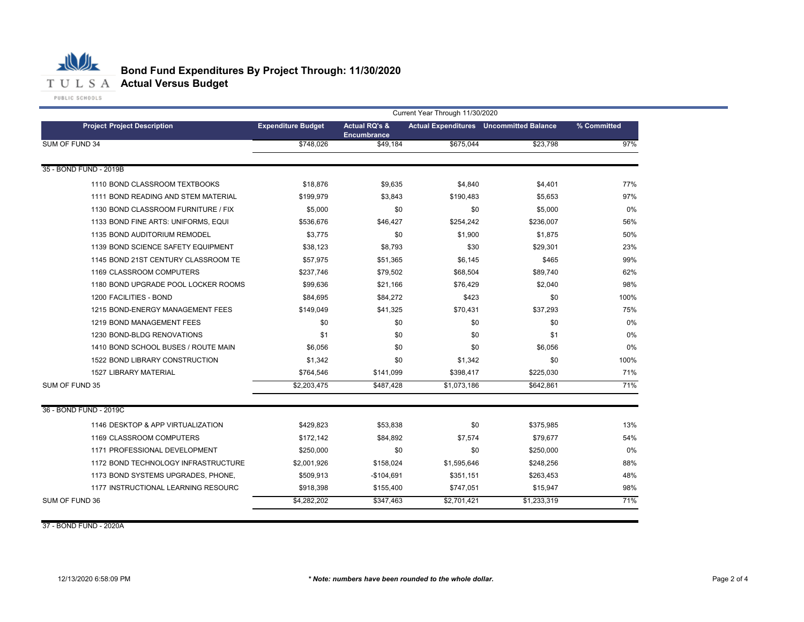

|                                     | Current Year Through 11/30/2020 |                                                |             |                                                |             |  |  |
|-------------------------------------|---------------------------------|------------------------------------------------|-------------|------------------------------------------------|-------------|--|--|
| <b>Project Project Description</b>  | <b>Expenditure Budget</b>       | <b>Actual RQ's &amp;</b><br><b>Encumbrance</b> |             | <b>Actual Expenditures</b> Uncommitted Balance | % Committed |  |  |
| SUM OF FUND 34                      | \$748,026                       | \$49,184                                       | \$675,044   | \$23.798                                       | 97%         |  |  |
| 35 - BOND FUND - 2019B              |                                 |                                                |             |                                                |             |  |  |
| 1110 BOND CLASSROOM TEXTBOOKS       | \$18,876                        | \$9,635                                        | \$4,840     | \$4,401                                        | 77%         |  |  |
| 1111 BOND READING AND STEM MATERIAL | \$199,979                       | \$3,843                                        | \$190,483   | \$5,653                                        | 97%         |  |  |
| 1130 BOND CLASSROOM FURNITURE / FIX | \$5,000                         | \$0                                            | \$0         | \$5,000                                        | 0%          |  |  |
| 1133 BOND FINE ARTS: UNIFORMS, EQUI | \$536,676                       | \$46,427                                       | \$254,242   | \$236,007                                      | 56%         |  |  |
| 1135 BOND AUDITORIUM REMODEL        | \$3,775                         | \$0                                            | \$1,900     | \$1,875                                        | 50%         |  |  |
| 1139 BOND SCIENCE SAFETY EQUIPMENT  | \$38,123                        | \$8,793                                        | \$30        | \$29,301                                       | 23%         |  |  |
| 1145 BOND 21ST CENTURY CLASSROOM TE | \$57,975                        | \$51,365                                       | \$6,145     | \$465                                          | 99%         |  |  |
| 1169 CLASSROOM COMPUTERS            | \$237,746                       | \$79,502                                       | \$68,504    | \$89,740                                       | 62%         |  |  |
| 1180 BOND UPGRADE POOL LOCKER ROOMS | \$99,636                        | \$21,166                                       | \$76,429    | \$2,040                                        | 98%         |  |  |
| 1200 FACILITIES - BOND              | \$84,695                        | \$84,272                                       | \$423       | \$0                                            | 100%        |  |  |
| 1215 BOND-ENERGY MANAGEMENT FEES    | \$149,049                       | \$41,325                                       | \$70,431    | \$37,293                                       | 75%         |  |  |
| 1219 BOND MANAGEMENT FEES           | \$0                             | \$0                                            | \$0         | \$0                                            | 0%          |  |  |
| 1230 BOND-BLDG RENOVATIONS          | \$1                             | \$0                                            | \$0         | \$1                                            | 0%          |  |  |
| 1410 BOND SCHOOL BUSES / ROUTE MAIN | \$6,056                         | \$0                                            | \$0         | \$6.056                                        | 0%          |  |  |
| 1522 BOND LIBRARY CONSTRUCTION      | \$1,342                         | \$0                                            | \$1,342     | \$0                                            | 100%        |  |  |
| <b>1527 LIBRARY MATERIAL</b>        | \$764,546                       | \$141,099                                      | \$398,417   | \$225,030                                      | 71%         |  |  |
| SUM OF FUND 35                      | \$2,203,475                     | \$487,428                                      | \$1,073,186 | \$642,861                                      | 71%         |  |  |
| 36 - BOND FUND - 2019C              |                                 |                                                |             |                                                |             |  |  |
| 1146 DESKTOP & APP VIRTUALIZATION   | \$429,823                       | \$53,838                                       | \$0         | \$375,985                                      | 13%         |  |  |
| 1169 CLASSROOM COMPUTERS            | \$172,142                       | \$84,892                                       | \$7,574     | \$79,677                                       | 54%         |  |  |
| 1171 PROFESSIONAL DEVELOPMENT       | \$250,000                       | \$0                                            | \$0         | \$250,000                                      | 0%          |  |  |
| 1172 BOND TECHNOLOGY INFRASTRUCTURE | \$2,001,926                     | \$158,024                                      | \$1,595,646 | \$248,256                                      | 88%         |  |  |
| 1173 BOND SYSTEMS UPGRADES, PHONE,  | \$509,913                       | $-$104,691$                                    | \$351,151   | \$263,453                                      | 48%         |  |  |
| 1177 INSTRUCTIONAL LEARNING RESOURC | \$918,398                       | \$155,400                                      | \$747,051   | \$15,947                                       | 98%         |  |  |
| SUM OF FUND 36                      | \$4,282,202                     | \$347,463                                      | \$2,701,421 | \$1,233,319                                    | 71%         |  |  |

37 - BOND FUND - 2020A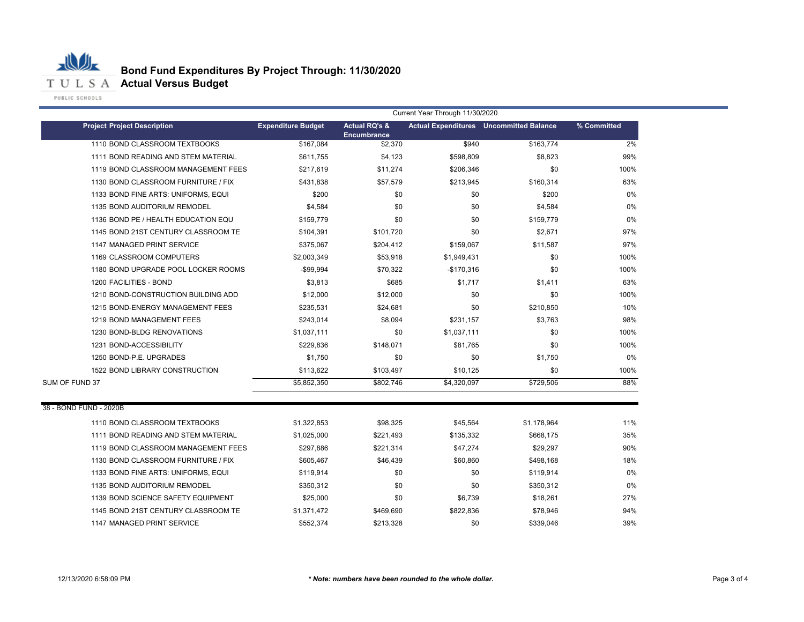

|                                     |                           |                                                |             | Current Year Through 11/30/2020                |             |  |
|-------------------------------------|---------------------------|------------------------------------------------|-------------|------------------------------------------------|-------------|--|
| <b>Project Project Description</b>  | <b>Expenditure Budget</b> | <b>Actual RQ's &amp;</b><br><b>Encumbrance</b> |             | <b>Actual Expenditures</b> Uncommitted Balance | % Committed |  |
| 1110 BOND CLASSROOM TEXTBOOKS       | \$167,084                 | \$2,370                                        | \$940       | \$163,774                                      | 2%          |  |
| 1111 BOND READING AND STEM MATERIAL | \$611.755                 | \$4,123                                        | \$598,809   | \$8.823                                        | 99%         |  |
| 1119 BOND CLASSROOM MANAGEMENT FEES | \$217,619                 | \$11,274                                       | \$206,346   | \$0                                            | 100%        |  |
| 1130 BOND CLASSROOM FURNITURE / FIX | \$431,838                 | \$57,579                                       | \$213,945   | \$160,314                                      | 63%         |  |
| 1133 BOND FINE ARTS: UNIFORMS, EQUI | \$200                     | \$0                                            | \$0         | \$200                                          | $0\%$       |  |
| 1135 BOND AUDITORIUM REMODEL        | \$4,584                   | \$0                                            | \$0         | \$4,584                                        | 0%          |  |
| 1136 BOND PE / HEALTH EDUCATION EQU | \$159,779                 | \$0                                            | \$0         | \$159,779                                      | 0%          |  |
| 1145 BOND 21ST CENTURY CLASSROOM TE | \$104,391                 | \$101,720                                      | \$0         | \$2,671                                        | 97%         |  |
| 1147 MANAGED PRINT SERVICE          | \$375,067                 | \$204,412                                      | \$159,067   | \$11,587                                       | 97%         |  |
| 1169 CLASSROOM COMPUTERS            | \$2,003,349               | \$53,918                                       | \$1,949,431 | \$0                                            | 100%        |  |
| 1180 BOND UPGRADE POOL LOCKER ROOMS | -\$99,994                 | \$70,322                                       | $-$170,316$ | \$0                                            | 100%        |  |
| 1200 FACILITIES - BOND              | \$3,813                   | \$685                                          | \$1,717     | \$1,411                                        | 63%         |  |
| 1210 BOND-CONSTRUCTION BUILDING ADD | \$12,000                  | \$12,000                                       | \$0         | \$0                                            | 100%        |  |
| 1215 BOND-ENERGY MANAGEMENT FEES    | \$235,531                 | \$24,681                                       | \$0         | \$210,850                                      | 10%         |  |
| 1219 BOND MANAGEMENT FEES           | \$243,014                 | \$8,094                                        | \$231,157   | \$3,763                                        | 98%         |  |
| 1230 BOND-BLDG RENOVATIONS          | \$1,037,111               | \$0                                            | \$1,037,111 | \$0                                            | 100%        |  |
| 1231 BOND-ACCESSIBILITY             | \$229,836                 | \$148,071                                      | \$81,765    | \$0                                            | 100%        |  |
| 1250 BOND-P.E. UPGRADES             | \$1,750                   | \$0                                            | \$0         | \$1,750                                        | 0%          |  |
| 1522 BOND LIBRARY CONSTRUCTION      | \$113,622                 | \$103,497                                      | \$10,125    | \$0                                            | 100%        |  |
| SUM OF FUND 37                      | \$5,852,350               | \$802,746                                      | \$4,320,097 | \$729,506                                      | 88%         |  |
| 38 - BOND FUND - 2020B              |                           |                                                |             |                                                |             |  |
| 1110 BOND CLASSROOM TEXTBOOKS       | \$1,322,853               | \$98,325                                       | \$45,564    | \$1,178,964                                    | 11%         |  |
| 1111 BOND READING AND STEM MATERIAL | \$1,025,000               | \$221,493                                      | \$135,332   | \$668,175                                      | 35%         |  |
| 1119 BOND CLASSROOM MANAGEMENT FEES | \$297,886                 | \$221,314                                      | \$47,274    | \$29,297                                       | 90%         |  |
| 1130 BOND CLASSROOM FURNITURE / FIX | \$605,467                 | \$46,439                                       | \$60,860    | \$498,168                                      | 18%         |  |
| 1133 BOND FINE ARTS: UNIFORMS, EQUI | \$119,914                 | \$0                                            | \$0         | \$119,914                                      | 0%          |  |
| 1135 BOND AUDITORIUM REMODEL        | \$350,312                 | \$0                                            | \$0         | \$350,312                                      | 0%          |  |
| 1139 BOND SCIENCE SAFETY EQUIPMENT  | \$25,000                  | \$0                                            | \$6,739     | \$18,261                                       | 27%         |  |
| 1145 BOND 21ST CENTURY CLASSROOM TE | \$1,371,472               | \$469,690                                      | \$822,836   | \$78,946                                       | 94%         |  |
| 1147 MANAGED PRINT SERVICE          | \$552.374                 | \$213.328                                      | \$0         | \$339,046                                      | 39%         |  |
|                                     |                           |                                                |             |                                                |             |  |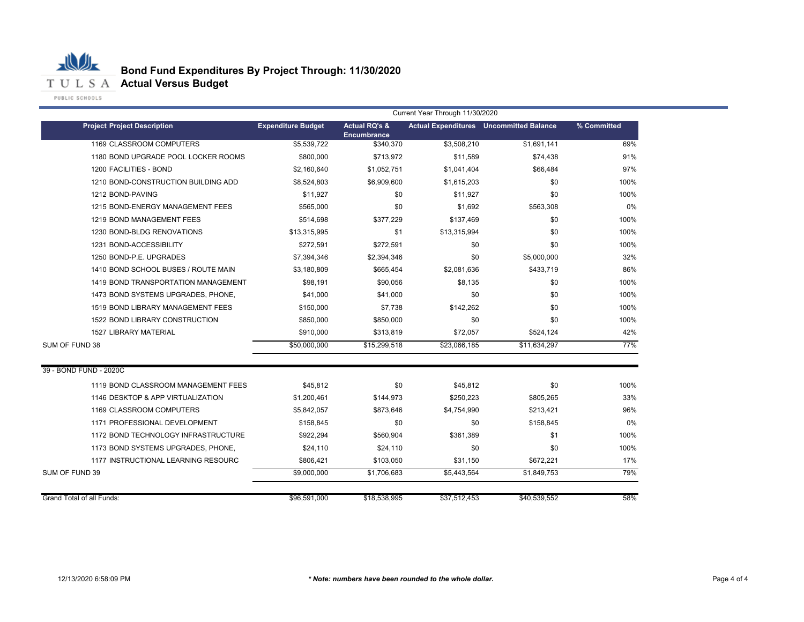

|                                     |                           | Current Year Through 11/30/2020                |              |                                                |             |
|-------------------------------------|---------------------------|------------------------------------------------|--------------|------------------------------------------------|-------------|
| <b>Project Project Description</b>  | <b>Expenditure Budget</b> | <b>Actual RQ's &amp;</b><br><b>Encumbrance</b> |              | <b>Actual Expenditures</b> Uncommitted Balance | % Committed |
| 1169 CLASSROOM COMPUTERS            | \$5,539,722               | \$340,370                                      | \$3,508,210  | \$1,691,141                                    | 69%         |
| 1180 BOND UPGRADE POOL LOCKER ROOMS | \$800,000                 | \$713,972                                      | \$11,589     | \$74,438                                       | 91%         |
| 1200 FACILITIES - BOND              | \$2,160,640               | \$1,052,751                                    | \$1,041,404  | \$66,484                                       | 97%         |
| 1210 BOND-CONSTRUCTION BUILDING ADD | \$8,524,803               | \$6,909,600                                    | \$1,615,203  | \$0                                            | 100%        |
| 1212 BOND-PAVING                    | \$11,927                  | \$0                                            | \$11,927     | \$0                                            | 100%        |
| 1215 BOND-ENERGY MANAGEMENT FEES    | \$565,000                 | \$0                                            | \$1,692      | \$563,308                                      | 0%          |
| 1219 BOND MANAGEMENT FEES           | \$514,698                 | \$377,229                                      | \$137,469    | \$0                                            | 100%        |
| 1230 BOND-BLDG RENOVATIONS          | \$13,315,995              | \$1                                            | \$13,315,994 | \$0                                            | 100%        |
| 1231 BOND-ACCESSIBILITY             | \$272,591                 | \$272,591                                      | \$0          | \$0                                            | 100%        |
| 1250 BOND-P.E. UPGRADES             | \$7,394,346               | \$2,394,346                                    | \$0          | \$5,000,000                                    | 32%         |
| 1410 BOND SCHOOL BUSES / ROUTE MAIN | \$3,180,809               | \$665,454                                      | \$2,081,636  | \$433,719                                      | 86%         |
| 1419 BOND TRANSPORTATION MANAGEMENT | \$98,191                  | \$90,056                                       | \$8,135      | \$0                                            | 100%        |
| 1473 BOND SYSTEMS UPGRADES, PHONE,  | \$41,000                  | \$41,000                                       | \$0          | \$0                                            | 100%        |
| 1519 BOND LIBRARY MANAGEMENT FEES   | \$150,000                 | \$7,738                                        | \$142,262    | \$0                                            | 100%        |
| 1522 BOND LIBRARY CONSTRUCTION      | \$850,000                 | \$850,000                                      | \$0          | \$0                                            | 100%        |
| 1527 LIBRARY MATERIAL               | \$910,000                 | \$313,819                                      | \$72,057     | \$524,124                                      | 42%         |
| SUM OF FUND 38                      | \$50,000,000              | \$15,299,518                                   | \$23,066,185 | \$11,634,297                                   | 77%         |
| 39 - BOND FUND - 2020C              |                           |                                                |              |                                                |             |
| 1119 BOND CLASSROOM MANAGEMENT FEES | \$45,812                  | \$0                                            | \$45,812     | \$0                                            | 100%        |
| 1146 DESKTOP & APP VIRTUALIZATION   | \$1,200,461               | \$144,973                                      | \$250,223    | \$805,265                                      | 33%         |
| 1169 CLASSROOM COMPUTERS            | \$5,842,057               | \$873,646                                      | \$4,754,990  | \$213,421                                      | 96%         |
| 1171 PROFESSIONAL DEVELOPMENT       | \$158,845                 | \$0                                            | \$0          | \$158,845                                      | 0%          |
| 1172 BOND TECHNOLOGY INFRASTRUCTURE | \$922,294                 | \$560,904                                      | \$361,389    | \$1                                            | 100%        |
| 1173 BOND SYSTEMS UPGRADES, PHONE,  | \$24,110                  | \$24,110                                       | \$0          | \$0                                            | 100%        |
| 1177 INSTRUCTIONAL LEARNING RESOURC | \$806,421                 | \$103,050                                      | \$31,150     | \$672,221                                      | 17%         |
| SUM OF FUND 39                      | \$9,000,000               | \$1,706,683                                    | \$5,443,564  | \$1,849,753                                    | 79%         |
| Grand Total of all Funds:           | \$96,591,000              | \$18,538,995                                   | \$37,512,453 | \$40,539,552                                   | 58%         |